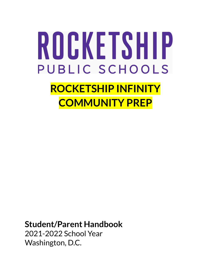# ROCKETSHIP PUBLIC SCHOOLS **ROCKETSHIP INFINITY COMMUNITY PREP**

**Student/Parent Handbook** 2021-2022 School Year Washington, D.C.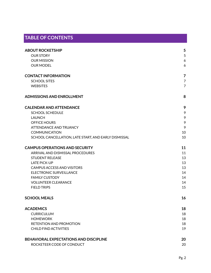# **TABLE OF CONTENTS**

| <b>ABOUT ROCKETSHIP</b>                              | 5              |
|------------------------------------------------------|----------------|
| <b>OUR STORY</b>                                     | 5              |
| <b>OUR MISSION</b>                                   | 6              |
| <b>OUR MODEL</b>                                     | 6              |
| <b>CONTACT INFORMATION</b>                           | 7              |
| <b>SCHOOL SITES</b>                                  | $\overline{7}$ |
| <b>WEBSITES</b>                                      | $\overline{7}$ |
| <b>ADMISSIONS AND ENROLLMENT</b>                     | 8              |
| <b>CALENDAR AND ATTENDANCE</b>                       | 9              |
| <b>SCHOOL SCHEDULE</b>                               | 9              |
| <b>LAUNCH</b>                                        | 9              |
| OFFICE HOURS                                         | 9              |
| <b>ATTENDANCE AND TRUANCY</b>                        | 9              |
| <b>COMMUNICATION</b>                                 | 10             |
| SCHOOL CANCELLATION, LATE START, AND EARLY DISMISSAL | 10             |
| <b>CAMPUS OPERATIONS AND SECURITY</b>                | 11             |
| ARRIVAL AND DISMISSAL PROCEDURES                     | 11             |
| <b>STUDENT RELEASE</b>                               | 13             |
| <b>LATE PICK-UP</b>                                  | 13             |
| <b>CAMPUS ACCESS AND VISITORS</b>                    | 13             |
| <b>ELECTRONIC SURVEILLANCE</b>                       | 14             |
| <b>FAMILY CUSTODY</b>                                | 14             |
| <b>VOLUNTEER CLEARANCE</b>                           | 14             |
| <b>FIELD TRIPS</b>                                   | 15             |
| <b>SCHOOL MEALS</b>                                  | 16             |
| <b>ACADEMICS</b>                                     | 18             |
| <b>CURRICULUM</b>                                    | 18             |
| <b>HOMEWORK</b>                                      | 18             |
| RETENTION AND PROMOTION                              | 18             |
| <b>CHILD FIND ACTIVITIES</b>                         | 19             |
| BEHAVIORAL EXPECTATIONS AND DISCIPLINE               | 20             |
| ROCKETEER CODE OF CONDUCT                            | 20             |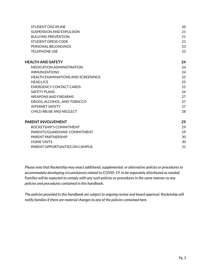| <b>STUDENT DISCIPLINE</b>                 | 20 |
|-------------------------------------------|----|
| SUSPENSION AND EXPULSION                  | 21 |
| <b>BULLYING PREVENTION</b>                | 21 |
| <b>STUDENT DRESS CODE</b>                 | 21 |
| PERSONAL BELONGINGS                       | 23 |
| <b>TELEPHONE USE</b>                      | 23 |
| <b>HEALTH AND SAFETY</b>                  | 24 |
| <b>MEDICATION ADMINISTRATION</b>          | 24 |
| <b>IMMUNIZATIONS</b>                      | 24 |
| <b>HEALTH EXAMINATIONS AND SCREENINGS</b> | 25 |
| <b>HFADLICF</b>                           | 25 |
| <b>EMERGENCY CONTACT CARDS</b>            | 25 |
| SAFFTY PLANS                              | 26 |
| <b>WEAPONS AND FIREARMS</b>               | 27 |
| DRUGS, ALCOHOL, AND TOBACCO               | 27 |
| <b>INTERNET SAFETY</b>                    | 27 |
| CHILD ABUSE AND NEGLECT                   | 28 |
| <b>PARENT INVOLVEMENT</b>                 | 29 |
| ROCKETSHIP'S COMMITMENT                   | 29 |
| PARENTS'/GUARDIANS' COMMITMENT            | 29 |
| PARENT PARTNERSHIP                        | 30 |
| <b>HOME VISITS</b>                        | 30 |
| PARENT OPPORTUNITIES ON CAMPUS            | 31 |
|                                           |    |

*Please note that Rocketship may enact additional,supplemental, or alternative policies or proceduresto accommodate developing circumstancesrelated to COVID-19, to be separately distributed as needed. Families will be expected to comply with any such policies or proceduresin the same manner as any policies and procedures contained in this handbook.*

*The policies provided in this handbook are subject to ongoing review and board approval. Rocketship will notify familiesif there are material changesto any of the policies contained here.*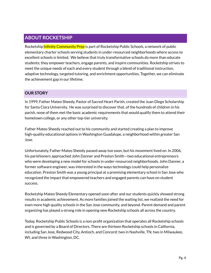# **ABOUT ROCKETSHIP**

Rocketship Infinity Community Prep is part of Rocketship Public Schools, a network of public elementary charter schools serving students in under-resourced neighborhoods where access to excellent schools is limited. We believe that truly transformative schools do more than educate students; they empower teachers, engage parents, and inspire communities. Rocketship strives to meet the unique needs of each and every student through a blend of traditional instruction, adaptive technology, targeted tutoring, and enrichment opportunities. Together, we can eliminate the achievement gap in our lifetime.

## **OUR STORY**

In 1999, Father Mateo Sheedy, Pastor of Sacred Heart Parish, created the Juan Diego Scholarship for Santa Clara University. He was surprised to discover that, of the hundreds of children in his parish, none of them met the basic academic requirements that would qualify them to attend their hometown college, or any other top-tier university.

Father Mateo Sheedy reached out to his community and started creating a plan to improve high-quality educational options in Washington Guadalupe, a neighborhood within greater San Jose.

Unfortunately, Father Mateo Sheedy passed away too soon, but his movement lived on. In 2006, his parishioners approached John Danner and Preston Smith—two educational entrepreneurs who were developing a new model for schools in under-resourced neighborhoods. John Danner, a former software engineer, was interested in the ways technology could help personalize education. Preston Smith was a young principal at a promising elementary school in San Jose who recognized the impact that empowered teachers and engaged parents can have on student success.

Rocketship Mateo Sheedy Elementary opened soon after and our students quickly showed strong results in academic achievement. As more families joined the waiting list, we realized the need for even more high quality schools in the San Jose community, and beyond. Parent demand and parent organizing has played a strong role in opening new Rocketship schools all across the country.

Today, Rocketship Public Schools is a non-profit organization that operates all Rocketship schools and is governed by a Board of Directors. There are thirteen Rocketship schools in California, including San Jose, Redwood City, Antioch, and Concord; two in Nashville, TN; two in Milwaukee, WI; and three in Washington, DC.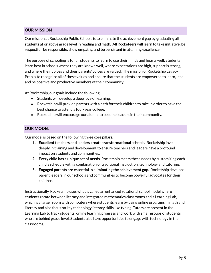## **OUR MISSION**

Our mission at Rocketship Public Schools is to eliminate the achievement gap by graduating all students at or above grade level in reading and math. All Rocketeers will learn to take initiative, be respectful, be responsible, show empathy, and be persistent in attaining excellence.

The purpose of schooling is for all students to learn to use their minds and hearts well. Students learn best in schools where they are known well, where expectations are high, support is strong, and where their voices and their parents' voices are valued. The mission of Rocketship Legacy Prep is to recognize all of these values and ensure that the students are empowered to learn, lead, and be positive and productive members of their community.

At Rocketship, our goals include the following:

- Students will develop a deep love of learning.
- Rocketship will provide parents with a path for their children to take in order to have the best chance to attend a four-year college.
- Rocketship will encourage our alumni to become leaders in their community.

## **OUR MODEL**

Our model is based on the following three core pillars:

- 1. **Excellentteachers and leaders create transformational schools.** Rocketship invests deeply in training and development to ensure teachers and leaders have a profound impact on students and communities.
- 2. **Every child has a unique set of needs.** Rocketship meets these needs by customizing each child's schedule with a combination of traditional instruction, technology and tutoring.
- 3. **Engaged parents are essential in eliminating the achievement gap.** Rocketship develops parent leaders in our schools and communities to become powerful advocates for their children.

Instructionally, Rocketship uses what is called an enhanced rotational school model where students rotate between literacy and integrated mathematics classrooms and a Learning Lab, which is a larger room with computers where students learn by using online programs in math and literacy and also focus on key technology literacy skills like typing. Tutors are present in the Learning Lab to track students' online learning progress and work with small groups of students who are behind grade level. Students also have opportunities to engage with technology in their classrooms.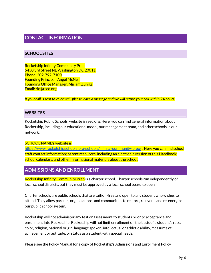# **CONTACT INFORMATION**

## **SCHOOL SITES**

Rocketship Infinity Community Prep 5450 3rd Street NE Washington DC 20011 Phone: 202-792-7100 Founding Principal: Angel McNeil Founding Office Manager: Miriam Zuniga Email: ric@rsed.org

If your call is sent to voicemail, please leave a message and we will return your call within 24 hours.

#### **WEBSITES**

Rocketship Public Schools' website is rsed.org. Here, you can find general information about Rocketship, including our educational model, our management team, and other schools in our network.

#### SCHOOL NAME's website is

<https://www.rocketshipschools.org/schools/infinity-community-prep/> . Here you can find school staff contact information; parent resources, including an electronic version of this Handbook; school calendars; and other informational materials about the school.

# **ADMISSIONS AND ENROLLMENT**

Rocketship Infinity Community Prep is a charter school. Charter schools run independently of local school districts, but they must be approved by a local school board to open.

Charter schools are public schools that are tuition-free and open to any student who wishes to attend. They allow parents, organizations, and communities to restore, reinvent, and re-energize our public school system.

Rocketship will not administer any test or assessment to students prior to acceptance and enrollment into Rocketship. Rocketship will not limit enrollment on the basis of a student's race, color, religion, national origin, language spoken, intellectual or athletic ability, measures of achievement or aptitude, or status as a student with special needs.

Please see the Policy Manual for a copy of Rocketship's Admissions and Enrollment Policy.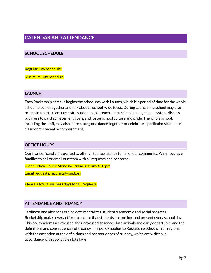# **CALENDAR AND ATTENDANCE**

## **SCHOOL SCHEDULE**

Regular Day Schedule:

Minimum Day Schedule

#### **LAUNCH**

Each Rocketship campus begins the school day with Launch, which is a period of time for the whole school to come together and talk about a school-wide focus. During Launch, the school may also promote a particular successful student habit, teach a new school management system, discuss progress toward achievement goals, and foster school culture and pride. The whole school, including the staff, may also learn a song or a dance together or celebrate a particular student or classroom's recent accomplishment.

#### **OFFICE HOURS**

Our front office staff is excited to offer virtual assistance for all of our community. We encourage families to call or email our team with all requests and concerns.

Front Office Hours: Monday-Friday 8:00am-4:30pm

Email requests: mzuniga@rsed.org

Please allow 3 business days for all requests.

#### **ATTENDANCE AND TRUANCY**

Tardiness and absences can be detrimental to a student's academic and social progress. Rocketship makes every effort to ensure that students are on time and present every school day. This policy addresses excused and unexcused absences, late arrivals and early departures, and the definitions and consequences of truancy. The policy applies to Rocketship schools in all regions, with the exception of the definitions and consequences of truancy, which are written in accordance with applicable state laws.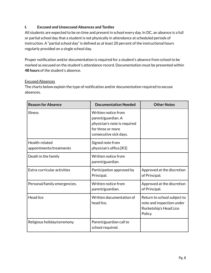## **I. Excused and Unexcused Absences and Tardies**

All students are expected to be on time and present in school every day. In DC, an absence is a full or partial school day that a student is not physically in attendance at scheduled periods of instruction. A "partial school day" is defined as at least 20 percent of the instructional hours regularly provided on a single school day.

Proper notification and/or documentation is required for a student's absence from school to be marked as excused on the student's attendance record. Documentation must be presented within **48 hours** of the student's absence.

#### Excused Absences

The charts below explain the type of notification and/or documentation required to excuse absences.

| <b>Reason for Absence</b>                 | <b>Documentation Needed</b>                                                                                              | <b>Other Notes</b>                                                                            |
|-------------------------------------------|--------------------------------------------------------------------------------------------------------------------------|-----------------------------------------------------------------------------------------------|
| <b>Illness</b>                            | Written notice from<br>parent/guardian. A<br>physician's note is required<br>for three or more<br>consecutive sick days. |                                                                                               |
| Health-related<br>appointments/treatments | Signed note from<br>physician's office.[R3]                                                                              |                                                                                               |
| Death in the family                       | Written notice from<br>parent/guardian.                                                                                  |                                                                                               |
| Extra-curricular activities               | Participation approved by<br>Principal.                                                                                  | Approved at the discretion<br>of Principal.                                                   |
| Personal/family emergencies.              | Written notice from<br>parent/guardian.                                                                                  | Approved at the discretion<br>of Principal.                                                   |
| <b>Head lice</b>                          | Written documentation of<br>head lice.                                                                                   | Return to school subject to<br>note and inspection under<br>Rocketship's Head Lice<br>Policy. |
| Religious holiday/ceremony.               | Parent/guardian call to<br>school required.                                                                              |                                                                                               |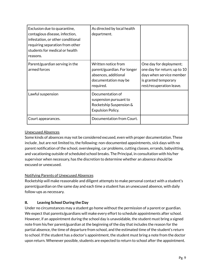| Exclusion due to quarantine,<br>contagious disease, infection,<br>infestation, or other conditional<br>requiring separation from other<br>students for medical or health<br>reasons. | As directed by local health<br>department.                                                                      |                                                                                                                                         |
|--------------------------------------------------------------------------------------------------------------------------------------------------------------------------------------|-----------------------------------------------------------------------------------------------------------------|-----------------------------------------------------------------------------------------------------------------------------------------|
| Parent/guardian serving in the<br>armed forces                                                                                                                                       | Written notice from<br>parent/guardian. For longer<br>absences, additional<br>documentation may be<br>required. | One day for deployment;<br>one day for return; up to 10<br>days when service member<br>is granted temporary<br>rest/recuperation leave. |
| Lawful suspension                                                                                                                                                                    | Documentation of<br>suspension pursuant to<br>Rocketship Suspension &<br><b>Expulsion Policy.</b>               |                                                                                                                                         |
| Court appearances.                                                                                                                                                                   | Documentation from Court.                                                                                       |                                                                                                                                         |

## Unexcused Absences

Some kinds of absences may not be considered excused, even with proper documentation. These include , but are not limited to, the following: non-documented appointments, sick days with no parent notification of the school, oversleeping, car problems, cutting classes, errands, babysitting, and vacationing outside of scheduled school breaks. The Principal, in consultation with his/her supervisor when necessary, has the discretion to determine whether an absence should be excused or unexcused.

## Notifying Parents of Unexcused Absences

Rocketship will make reasonable and diligent attempts to make personal contact with a student's parent/guardian on the same day and each time a student has an unexcused absence, with daily follow-ups as necessary.

## **II. Leaving School During the Day**

Under no circumstances may a student go home without the permission of a parent or guardian. We expect that parents/guardians will make every effort to schedule appointments after school. However, if an appointment during the school day is unavoidable, the student must bring a signed note from his/her parent/guardian at the beginning of the day that includes the reason for the partial absence, the time of departure from school, and the estimated time of the student's return to school. If the student has a doctor's appointment, the student must bring a note from the doctor upon return. Whenever possible, students are expected to return to school after the appointment.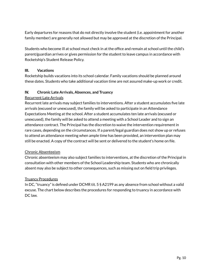Early departures for reasons that do not directly involve the student (i.e. appointment for another family member) are generally not allowed but may be approved at the discretion of the Principal.

Students who become ill at school must check in at the office and remain at school until the child's parent/guardian arrives or gives permission for the student to leave campus in accordance with Rocketship's Student Release Policy.

## **III. Vacations**

Rocketship builds vacations into its school calendar. Family vacations should be planned around these dates. Students who take additional vacation time are not assured make-up work or credit.

## **IV. Chronic Late Arrivals, Absences, and Truancy**

## Recurrent Late Arrivals

Recurrent late arrivals may subject families to interventions. After a student accumulates five late arrivals (excused or unexcused), the family will be asked to participate in an Attendance Expectations Meeting at the school. After a student accumulates ten late arrivals (excused or unexcused), the family will be asked to attend a meeting with a School Leader and to sign an attendance contract. The Principal has the discretion to waive the intervention requirement in rare cases, depending on the circumstances. If a parent/legal guardian does not show up or refuses to attend an attendance meeting when ample time has been provided, an intervention plan may still be enacted. A copy of the contract will be sent or delivered to the student's home on file.

#### Chronic Absenteeism

Chronic absenteeism may also subject families to interventions, at the discretion of the Principal in consultation with other members of the School Leadership team. Students who are chronically absent may also be subject to other consequences, such as missing out on field trip privileges.

#### Truancy Procedures

In DC, "truancy" is defined under DCMR tit. 5 § A2199 as any absence from school without a valid excuse. The chart below describes the procedures for responding to truancy in accordance with DC law.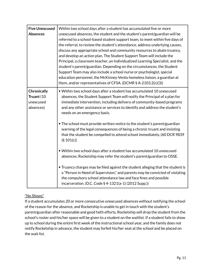| <b>Five Unexcused</b><br><b>Absences</b>                   | Within two school days after a student has accumulated five or more<br>unexcused absences, the student and the student's parent/guardian will be<br>referred to a school-based student support team, to meet within five days of<br>the referral, to review the student's attendance, address underlying causes,<br>discuss any appropriate school and community resources to abate truancy,<br>and develop an action plan. The Student Support Team will include the<br>Principal, a classroom teacher, an Individualized Learning Specialist, and the<br>student's parent/guardian. Depending on the circumstances, the Student<br>Support Team may also include a school nurse or psychologist, special<br>education personnel, the McKinney-Vento homeless liaison, a guardian at<br>litem, and/or representatives of CFSA. (DCMR § A-2103.2(c)(3)) |
|------------------------------------------------------------|---------------------------------------------------------------------------------------------------------------------------------------------------------------------------------------------------------------------------------------------------------------------------------------------------------------------------------------------------------------------------------------------------------------------------------------------------------------------------------------------------------------------------------------------------------------------------------------------------------------------------------------------------------------------------------------------------------------------------------------------------------------------------------------------------------------------------------------------------------|
| <b>Chronically</b><br>Truant (10<br>unexcused<br>absences) | . Within two school days after a student has accumulated 10 unexcused<br>absences, the Student Support Team will notify the Principal of a plan for<br>immediate intervention, including delivery of community-based programs<br>and any other assistance or services to identify and address the student's<br>needs on an emergency basis.                                                                                                                                                                                                                                                                                                                                                                                                                                                                                                             |
|                                                            | • The school must provide written notice to the student's parent/guardian<br>warning of the legal consequences of being a chronic truant and insisting<br>that the student be compelled to attend school immediately. (60 DCR 9839<br>(§ 101(c))                                                                                                                                                                                                                                                                                                                                                                                                                                                                                                                                                                                                        |
|                                                            | • Within two school days after a student has accumulated 10 unexcused<br>absences, Rocketship may refer the student's parent/guardian to OSSE.                                                                                                                                                                                                                                                                                                                                                                                                                                                                                                                                                                                                                                                                                                          |
|                                                            | • Truancy charges may be filed against the student alleging that the student is<br>a "Person in Need of Supervision," and parents may be convicted of violating<br>the compulsory school attendance law and face fines and possible<br>incarceration. (D.C. Code § 4-1321(a-1) (2012 Supp.))                                                                                                                                                                                                                                                                                                                                                                                                                                                                                                                                                            |

## "No Shows"

If a student accumulates 20 or more consecutive unexcused absences without notifying the school of the reason for the absence, and Rocketship is unable to get in touch with the student's parent/guardian after reasonable and good faith efforts, Rocketship will drop the student from the school's roster and his/her space will be given to a student on the waitlist. If a student fails to show up to school during the entire first week of the instructional school year, and the family does not notify Rocketship in advance, the student may forfeit his/her seat at the school and be placed on the wait list.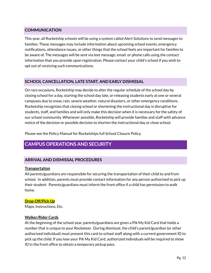## **COMMUNICATION**

This year, all Rocketship schools will be using a system called Alert Solutions to send messages to families. These messages may include information about upcoming school events, emergency notifications, attendance issues, or other things that the school feels are important for families to be aware of. The messages will be sent via text message, email. or phone calls using the contact information that you provide upon registration. Please contact your child's school if you wish to opt out of receiving such communications.

## **SCHOOL CANCELLATION, LATE START, AND EARLY DISMISSAL**

On rare occasions, Rocketship may decide to alter the regular schedule of the school day by closing school for a day, starting the school day late, or releasing students early at one or several campuses due to snow, rain, severe weather, natural disasters, or other emergency conditions. Rocketship recognizes that closing school or shortening the instructional day is disruptive for students, staff, and families and will only make this decision when it is necessary for the safety of our school community. Whenever possible, Rocketship will provide families and staff with advance notice of the decision or possible decision to shorten the instructional day or close school.

Please see the Policy Manual for Rocketships full School Closure Policy.

# **CAMPUS OPERATIONS AND SECURITY**

## **ARRIVAL AND DISMISSAL PROCEDURES**

#### **Transportation**

All parents/guardians are responsible for securing the transportation of their child to and from school. In addition, parents must provide contact information for any person authorized to pick up their student. Parents/guardians must inform the front office if a child has permission to walk home.

#### **Drop-Off/Pick Up**

Maps, Instructions, Etc.

#### **Walker/Rider Cards**

At the beginning of the school year, parents/guardians are given a Pik My Kid Card that holds a number that is unique to your Rocketeer. During dismissal, the child's parent/guardian (or other authorized individual) must present this card to school staff along with a current government ID to pick up the child. If you lose your Pik My Kid Card, authorized individuals will be required to show ID in the front office to obtain a temporary pickup pass.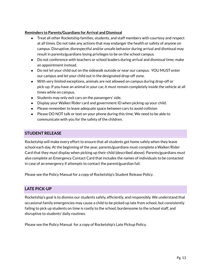#### **Reminders to Parents/Guardians for Arrival and Dismissal**

- Treat all other Rocketship families, students, and staff members with courtesy and respect at all times. Do not take any actions that may endanger the health or safety of anyone on campus. Disruptive, disrespectful and/or unsafe behavior during arrival and dismissal may result in parents/guardians losing privileges to be on the school campus.
- Do not conference with teachers or school leaders during arrival and dismissal time; make an appointment instead.
- Do not let your child out on the sidewalk outside or near our campus. YOU MUST enter our campus and let your child out in the designated drop-off zone.
- With very limited exceptions, animals are not allowed on campus during drop-off or pick-up. If you have an animal in your car, it must remain completely inside the vehicle at all times while on campus.
- Students may only exit cars on the passengers' side.
- Display your Walker/Rider card and government ID when picking up your child.
- Please remember to leave adequate space between cars to avoid collision
- Please DO NOT talk or text on your phone during this time. We need to be able to communicate with you for the safety of the children.

## **STUDENT RELEASE**

Rocketship will make every effort to ensure that all students get home safely when they leave school each day. At the beginning of the year, parents/guardians must complete a Walker/Rider Card that they must display when picking up their child (described above). Parents/guardians must also complete an Emergency Contact Card that includes the names of individuals to be contacted in case of an emergency if attempts to contact the parent/guardian fail.

Please see the Policy Manual for a copy of Rocketship's Student Release Policy .

## **LATE PICK-UP**

Rocketship's goal is to dismiss our students safely, efficiently, and responsibly. We understand that occasional family emergencies may cause a child to be picked up late from school, but consistently failing to pick up students on time is costly to the school, burdensome to the school staff, and disruptive to students' daily routines.

Please see the Policy Manual for a copy of Rocketship's Late Pickup Policy*.*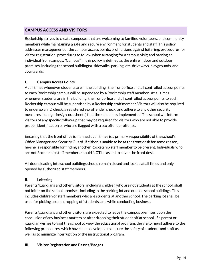## **CAMPUS ACCESS AND VISITORS**

Rocketship strives to create campuses that are welcoming to families, volunteers, and community members while maintaining a safe and secure environment for students and staff. This policy addresses management of the campus access points; prohibitions against loitering; procedures for visitor registration; procedures to follow when arranging for a campus visit; and barring an individual from campus. "Campus" in this policy is defined as the entire indoor and outdoor premises, including the school building(s), sidewalks, parking lots, driveways, playgrounds, and courtyards.

## **I. Campus Access Points**

At all times whenever students are in the building,, the front office and all controlled access points to each Rocketship campus will be supervised by a Rocketship staff member. At all times whenever students are in the building, the front office and all controlled access points to each Rocketship campus will be supervised by a Rocketship staff member. Visitors will also be required to undergo an ID check, a registered sex offender check, and adhere to any other security measures (i.e. sign-in/sign-out sheets) that the school has implemented. The school will inform visitors of any specific follow-up that may be required for visitors who are not able to provide proper identification or who are flagged with a sex offender offense.

Ensuring that the front office is manned at all times is a primary responsibility of the school's Office Manager and Security Guard. If either is unable to be at the front desk for some reason, he/she is responsible for finding another Rocketship staff member to be present. Individuals who are not Rocketship staff members should NOT be asked to cover the front desk.

All doors leading into school buildings should remain closed and locked at all times and only opened by authorized staff members.

#### **II. Loitering**

Parents/guardians and other visitors, including children who are not students at the school, shall not loiter on the school premises, including in the parking lot and outside school buildings. This includes children of staff members who are students at another school. The parking lot shall be used for picking up and dropping off students, and while conducting business.

Parents/guardians and other visitors are expected to leave the campus premises upon the conclusion of any business matters or after dropping their student off at school. If a parent or guardian wishes to visit the school to view the educational program, the visitor must adhere to the following procedures, which have been developed to ensure the safety of students and staff as well as to minimize interruption of the instructional program.

#### **III. Visitor Registration and Passes/Badges**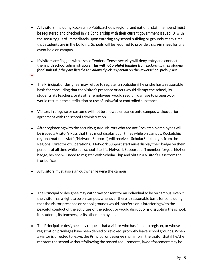- All visitors (including Rocketship Public Schools regional and national staff members) must be registered and checked in via ScholarChip with their current government issued ID with the security guard immediately upon entering any school building or grounds at any time that students are in the building. Schools will be required to provide a sign-in sheet for any event held on campus.
- If visitors are flagged with a sex offender offense, security will deny entry and connect them with school administrators. *This will not prohibit familiesfrom picking up theirstudent for dismissal if they are listed as an allowed pick up person on the Powerschool pick up list.*
- **●**
- The Principal, or designee, may refuse to register an outsider if he or she has a reasonable basis for concluding that the visitor's presence or acts would disrupt the school, its students, its teachers, or its other employees; would result in damage to property; or would result in the distribution or use of unlawful or controlled substance.
- Visitors in disguise or costume will not be allowed entrance onto campus without prior agreement with the school administration.
- After registering with the security guard, visitors who are not Rocketship employees will be issued a Visitor's Pass that they must display at all times while on campus. Rocketship regional/national staff ("Network Support") will receive a ScholarShip badges from the Regional Director of Operations. . Network Support staff must display their badge on their persons at all time while at a school site. If a Network Support staff member forgets his/her badge, he/ she will need to register with ScholarChip and obtain a Visitor's Pass from the front office.
- All visitors must also sign out when leaving the campus.
- The Principal or designee may withdraw consent for an individual to be on campus, even if the visitor has a right to be on campus, whenever there is reasonable basis for concluding that the visitor presence on school grounds would interfere or is interfering with the peaceful conduct of the activities of the school, or would disrupt or is disrupting the school, its students, its teachers, or its other employees.
- The Principal or designee may request that a visitor who has failed to register, or whose registration privileges have been denied or revoked, promptly leave school grounds. When a visitor is directed to leave, the Principal or designee shall inform the visitor that if he/she reenters the school without following the posted requirements, law enforcement may be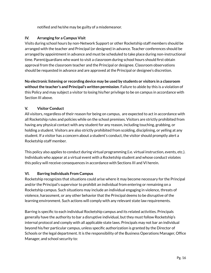notified and he/she may be guilty of a misdemeanor.

## **IV. Arranging for a Campus Visit**

Visits during school hours by non-Network Support or other Rocketship staff members should be arranged with the teacher and Principal (or designee) in advance. Teacher conferences should be arranged by appointment in advance and must be scheduled to take place during non-instructional time. Parent/guardians who want to visit a classroom during school hours should first obtain approval from the classroom teacher and the Principal or designee. Classroom observations should be requested in advance and are approved at the Principal or designee's discretion.

**No electronic listening or recording device may be used by students or visitors in a classroom withoutthe teacher's and Principal's written permission**. Failure to abide by this is a violation of this Policy and may subject a visitor to losing his/her privilege to be on campus in accordance with Section III above.

## **V. Visitor Conduct**

All visitors, regardless of their reason for being on campus, are expected to act in accordance with all Rocketship rules and policies while on the school premises. Visitors are strictly prohibited from having any physical contact with any student for any reason, including touching, grabbing, or holding a student. Visitors are also strictly prohibited from scolding, disciplining, or yelling at any student. If a visitor has a concern about a student's conduct, the visitor should promptly alert a Rocketship staff member.

This policy also applies to conduct during virtual programming (i.e. virtual instruction, events, etc.). Individuals who appear at a virtual event with a Rocketship student and whose conduct violates this policy will receive consequences in accordance with Sections III and VI herein.

## **VI. Barring Individuals From Campus**

Rocketship recognizes that situations could arise where it may become necessary for the Principal and/or the Principal's supervisor to prohibit an individual from entering or remaining on a Rocketship campus. Such situations may include an individual engaging in violence, threats of violence, harassment, or any other behavior that the Principal deems to be disruptive of the learning environment. Such actions will comply with any relevant state law requirements.

Barring is specific to each individual Rocketship campus and its related activities. Principals generally have the authority to bar a disruptive individual, but they must follow Rocketship's internal protocol and comply with all applicable state laws. Principals may not bar an individual beyond his/her particular campus, unless specific authorization is granted by the Director of Schools or the legal department. It is the responsibility of the Business Operations Manager, Office Manager, and school security to: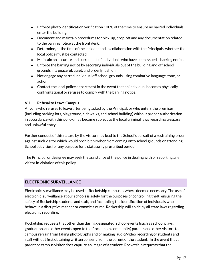- Enforce photo identification verification 100% of the time to ensure no barred individuals enter the building.
- Document and maintain procedures for pick-up, drop-off and any documentation related to the barring notice at the front desk.
- Determine, at the time of the incident and in collaboration with the Principals, whether the local police must be contacted.
- Maintain an accurate and current list of individuals who have been issued a barring notice.
- Enforce the barring notice by escorting individuals out of the building and off school grounds in a peaceful, quiet, and orderly fashion.
- Not engage any barred individual off school grounds using combative language, tone, or action.
- Contact the local police department in the event that an individual becomes physically confrontational or refuses to comply with the barring notice.

## **VII. Refusalto Leave Campus**

Anyone who refuses to leave after being asked by the Principal, or who enters the premises (including parking lots, playground, sidewalks, and school building) without proper authorization in accordance with this policy, may become subject to the local criminal laws regarding trespass and unlawful entry.

Further conduct of this nature by the visitor may lead to the School's pursuit of a restraining order against such visitor which would prohibit him/her from coming onto school grounds or attending School activities for any purpose for a statutorily prescribed period.

The Principal or designee may seek the assistance of the police in dealing with or reporting any visitor in violation of this policy.

## **ELECTRONIC SURVEILLANCE**

Electronic surveillance may be used at Rocketship campuses where deemed necessary. The use of electronic surveillance at our schools is solely for the purposes of controlling theft, ensuring the safety of Rocketship students and staff, and facilitating the identification of individuals who behave in a disruptive manner or commit a crime. Rocketship will abide by all state laws regarding electronic recording.

Rocketship requests that other than during designated school events (such as school plays, graduation, and other events open to the Rocketship community) parents and other visitors to campus refrain from taking photographs and or making audio/video recording of students and staff without first obtaining written consent from the parent of the student. In the event that a parent or campus visitor does capture an image of a student, Rocketship requests that the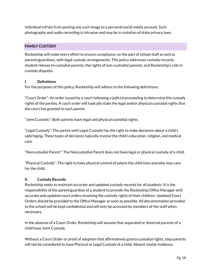individual refrain from posting any such image to a personal social media account. Such photography and audio recording is intrusive and may be in violation of state privacy laws.

## **FAMILY CUSTODY**

Rocketship will make every effort to ensure compliance, on the part of school staff as well as parents/guardians, with legal custody arrangements. This policy addresses custody records; student release to custodial parents; the rights of non-custodial parents; and Rocketship's role in custody disputes.

## **I. Definitions**

For the purposes of this policy, Rocketship will adhere to the following definitions:

"Court Order": An order issued by a court following a judicial proceeding to determine the custody rights of the parties. A court order will typically state the legal and/or physical custodial rights that the court has granted to each parent.

"Joint Custody": Both parents have legal and physical custodial rights.

"Legal Custody": The parent with Legal Custody has the right to make decisions about a child's upbringing. These types of decisions typically involve the child's education, religion, and medical care.

"Noncustodial Parent": The Noncustodial Parent does not have legal or physical custody of a child.

"Physical Custody": The right to have physical control of where the child lives and who may care for the child.

#### **II. Custody Records**

Rocketship seeks to maintain accurate and updated custody records for all students. It is the responsibility of the parent/guardian of a student to provide the Rocketship Office Manager with accurate and updated court orders involving the custody rights of their children. Updated Court Orders should be provided to the Office Manager as soon as possible. All documentation provided to the school will be kept confidential and will only be accessed by members of the staff when necessary.

In the absence of a Court Order, Rocketship will assume that separated or divorced parents of a child have Joint Custody.

Without a Court Order or proof of adoption that affirmatively grants custodial rights, step-parents will not be considered to have Physical or Legal Custody of a child. Absent similar evidence,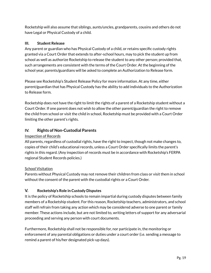Rocketship will also assume that siblings, aunts/uncles, grandparents, cousins and others do not have Legal or Physical Custody of a child.

## **III. Student Release**

Any parent or guardian who has Physical Custody of a child, or retains specific custody rights granted via a Court Order that extends to after-school hours, may to pick the student up from school as well as authorize Rocketship to release the student to any other person; provided that, such arrangements are consistent with the terms of the Court Order. At the beginning of the school year, parents/guardians will be asked to complete an Authorization to Release form.

Please see Rocketship's Student Release Policy for more information. At any time, either parent/guardian that has Physical Custody has the ability to add individuals to the Authorization to Release form.

Rocketship does not have the right to limit the rights of a parent of a Rocketship student without a Court Order. If one parent does not wish to allow the other parent/guardian the right to remove the child from school or visit the child in school, Rocketship must be provided with a Court Order limiting the other parent's rights.

## **IV. Rights of Non-Custodial Parents**

## Inspection of Records

All parents, regardless of custodial rights, have the right to inspect, though not make changes to, copies of their child's educational records, unless a Court Order specifically limits the parent's rights in this regard. (Any inspection of records must be in accordance with Rocketship's FERPA regional Student Records policies.)

## **School Visitation**

Parents without Physical Custody may not remove their children from class or visit them in school without the consent of the parent with the custodial rights or a Court Order.

## **V. Rocketship's Role in Custody Disputes**

It is the policy of Rocketship schools to remain impartial during custody disputes between family members of a Rocketship student. For this reason, Rocketship teachers, administrators, and school staff will refrain from taking any action which may be considered adverse to one parent or family member. These actions include, but are not limited to, writing letters of support for any adversarial proceeding and serving any person with court documents.

Furthermore, Rocketship shall not be responsible for, nor participate in, the monitoring or enforcement of any parental obligations or duties under a court order (i.e. sending a message to remind a parent of his/her designated pick-up days).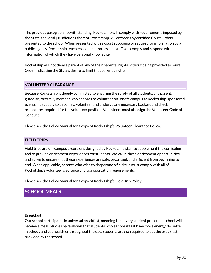The previous paragraph notwithstanding, Rocketship will comply with requirements imposed by the State and local jurisdictions thereof. Rocketship will enforce any certified Court Orders presented to the school. When presented with a court subpoena or request for information by a public agency, Rocketship teachers, administrators and staff will comply and respond with information of which they have personal knowledge.

Rocketship will not deny a parent of any of their parental rights without being provided a Court Order indicating the State's desire to limit that parent's rights.

## **VOLUNTEER CLEARANCE**

Because Rocketship is deeply committed to ensuring the safety of all students, any parent, guardian, or family member who chooses to volunteer on- or off-campus at Rocketship-sponsored events must apply to become a volunteer and undergo any necessary background check procedures required for the volunteer position. Volunteers must also sign the Volunteer Code of Conduct.

Please see the Policy Manual for a copy of Rocketship's Volunteer Clearance Policy**.**

## **FIELD TRIPS**

Field trips are off-campus excursions designed by Rocketship staff to supplement the curriculum and to provide enrichment experiences for students. We value these enrichment opportunities and strive to ensure that these experiences are safe, organized, and efficient from beginning to end. When applicable, parents who wish to chaperone a field trip must comply with all of Rocketship's volunteer clearance and transportation requirements.

Please see the Policy Manual for a copy of Rocketship's Field Trip Policy.

# **SCHOOL MEALS**

#### **Breakfast**

Our school participates in universal breakfast, meaning that every student present at school will receive a meal. Studies have shown that students who eat breakfast have more energy, do better in school, and eat healthier throughout the day. Students are *not* required to eat the breakfast provided by the school.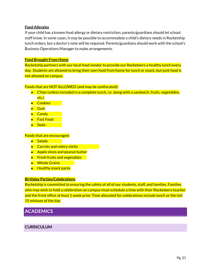#### **Food Allergies**

If your child has a known food allergy or dietary restriction, parents/guardians should let school staff know. In some cases, it may be possible to accommodate a child's dietary needs in Rocketship lunch orders, but a doctor's note will be required. Parents/guardians should work with the school's Business Operations Manager to make arrangements.

#### **Food Brought From Home**

Rocketship partners with our local food vendor to provide our Rocketeers a healthy lunch every day. Students are allowed to bring their own food from home for lunch or snack, but junk food is not allowed on campus.

#### Foods that are NOT ALLOWED (and may be confiscated):

- Chips (unless included in a complete lunch, i.e. along with a sandwich, fruits, vegetables, etc.)
- Cookies →
- Gum
- Candy
- Fast Food
- Soda

#### Foods that are encouraged:

- Salads
- Carrots and celery sticks
- Apple slices and peanut butter
- **•** Fresh fruits and vegetables
- Whole Grains → Whole
- Healthy snack packs

#### **Birthday Parties/Celebrations**

Rocketship is committed to ensuring the safety of all of our students, staff, and families. Families who may wish to hold a celebration on campus must schedule a time with their Rocketeers teacher and the front office at least 1 week prior. Time allocated for celebrations include lunch or the last 15 mintues of the day.

# **ACADEMICS**

## **CURRICULUM**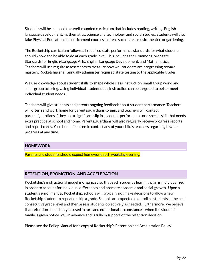Students will be exposed to a well-rounded curriculum that includes reading, writing, English language development, mathematics, science and technology, and social studies. Students will also take Physical Education and enrichment courses in areas such as art, music, theater, or gardening.

The Rocketship curriculum follows all required state performance standards for what students should know and be able to do at each grade level. This includes the Common Core State Standards for English/Language Arts, English Language Development, and Mathematics. Teachers will use regular assessments to measure how well students are progressing toward mastery. Rocketship shall annually administer required state testing to the applicable grades.

We use knowledge about student skills to shape whole class instruction, small group work, and small group tutoring. Using individual student data, instruction can be targeted to better meet individual student needs.

Teachers will give students and parents ongoing feedback about student performance. Teachers will often send work home for parents/guardians to sign, and teachers will contact parents/guardians if they see a significant slip in academic performance or a special skill that needs extra practice at school and home. Parents/guardians will also regularly receive progress reports and report cards. You should feel free to contact any of your child's teachers regarding his/her progress at any time.

#### **HOMEWORK**

Parents and students should expect homework each weekday evening.

#### **RETENTION, PROMOTION, AND ACCELERATION**

Rocketship's instructional model is organized so that each student's learning plan is individualized in order to account for individual differences and promote academic and social growth. Upon a student's enrollment at Rocketship, schools will typically not make decisions to allow a new Rocketship student to repeat or skip a grade. Schools are expected to enroll all students in the next consecutive grade level and then assess students objectively as needed. Furthermore, we believe that retention should only be used in rare and exceptional circumstances, when the student's family is given notice well in advance and is fully in support of the retention decision.

Please see the Policy Manual for a copy of Rocketship's Retention and Acceleration Policy.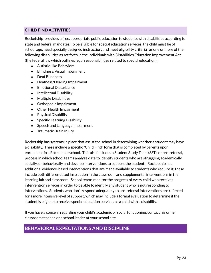## **CHILD FIND ACTIVITIES**

Rocketship provides a free, appropriate public education to students with disabilities according to state and federal mandates. To be eligible for special education services, the child must be of school age, need specially designed instruction, and meet eligibility criteria for one or more of the following disabilities as set forth in the Individuals with Disabilities Education Improvement Act (the federal law which outlines legal responsibilities related to special education):

- Autistic-like Behaviors
- Blindness/Visual Impairment
- Deaf Blindness
- Deafness/Hearing Impairment
- Emotional Disturbance
- Intellectual Disability
- Multiple Disabilities
- Orthopedic Impairment
- Other Health Impairment
- Physical Disability
- Specific Learning Disability
- Speech and Language Impairment
- Traumatic Brain Injury

Rocketship has systems in place that assist the school in determining whether a student may have a disability. These include a specific "Child Find" form that is completed by parents upon enrollment in a Rocketship school. This also includes a Student Study Team (SST), or pre-referral, process in which school teams analyze data to identify students who are struggling academically, socially, or behaviorally and develop interventions to support the student. Rocketship has additional evidence-based interventions that are made available to students who require it; these include both differentiated instruction in the classroom and supplemental interventions in the learning lab and classroom. School teams monitor the progress of every child who receives intervention services in order to be able to identify any student who is not responding to interventions. Students who don't respond adequately to pre-referral interventions are referred for a more intensive level of support, which may include a formal evaluation to determine if the student is eligible to receive special education services as a child with a disability.

If you have a concern regarding your child's academic or social functioning, contact his or her classroom teacher, or a school leader at your school site.

# **BEHAVIORAL EXPECTATIONS AND DISCIPLINE**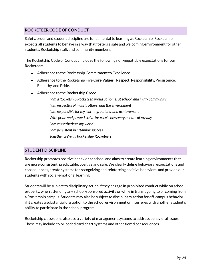## **ROCKETEER CODE OF CONDUCT**

Safety, order, and student discipline are fundamental to learning at Rocketship. Rocketship expects all students to behave in a way that fosters a safe and welcoming environment for other students, Rocketship staff, and community members.

The Rocketship Code of Conduct includes the following non-negotiable expectations for our Rocketeers:

- Adherence to the Rocketship Commitment to Excellence
- Adherence to the Rocketship Five **Core Values**: Respect, Responsibility, Persistence, Empathy, and Pride.
- Adherence to the **Rocketship Creed:**

*I am a Rocketship Rocketeer, proud at home, atschool, and in my community I am respectful of myself, others, and the environment I am responsible for my learning, actions, and achievement With pride and power Istrive for excellence every minute of my day I am empathetic to my world. I am persistent in attaining success Together we're all Rocketship Rocketeers!*

## **STUDENT DISCIPLINE**

Rocketship promotes positive behavior at school and aims to create learning environments that are more consistent, predictable, positive and safe. We clearly define behavioral expectations and consequences, create systems for recognizing and reinforcing positive behaviors, and provide our students with social-emotional learning.

Students will be subject to disciplinary action if they engage in prohibited conduct while on school property, when attending any school-sponsored activity or while in transit going to or coming from a Rocketship campus. Students may also be subject to disciplinary action for off-campus behavior if it creates a substantial disruption to the school environment or interferes with another student's ability to participate in the school program.

Rocketship classrooms also use a variety of management systems to address behavioral issues. These may include color-coded card chart systems and other tiered consequences.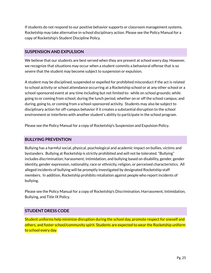If students do not respond to our positive behavior supports or classroom management systems, Rocketship may take alternative in-school disciplinary action. Please see the Policy Manual for a copy of Rocketship's Student Discipline Policy.

## **SUSPENSION AND EXPULSION**

We believe that our students are best served when they are present at school every day. However, we recognize that situations may occur when a student commits a behavioral offense that is so severe that the student may become subject to suspension or expulsion.

A student may be disciplined, suspended or expelled for prohibited misconduct if the act is related to school activity or school attendance occurring at a Rocketship school or at any other school or a school-sponsored event at any time including but not limited to: while on school grounds; while going to or coming from school; during the lunch period, whether on or off the school campus; and during, going to, or coming from a school-sponsored activity. Students may also be subject to disciplinary action for off-campus behavior if it creates a substantial disruption to the school environment or interferes with another student's ability to participate in the school program.

Please see the Policy Manual for a copy of Rocketship's Suspension and Expulsion Policy**.**

## **BULLYING PREVENTION**

Bullying has a harmful social, physical, psychological and academic impact on bullies, victims and bystanders. Bullying at Rocketship is strictly prohibited and will not be tolerated. "Bullying" includes discrimination; harassment; intimidation; and bullying based on disability, gender, gender identity, gender expression, nationality, race or ethnicity, religion, or perceived characteristics. All alleged incidents of bullying will be promptly investigated by designated Rocketship staff members. In addition, Rocketship prohibits retaliation against people who report incidents of bullying.

Please see the Policy Manual for a copy of Rocketship's Discrimination, Harrassment, Intimidation, Bullying, and Title IX Policy.

## **STUDENT DRESS CODE**

Student uniforms help minimize disruption during the school day, promote respect for oneself and others, and foster school/community spirit. Students are expected to wear the Rocketship uniform to school every day.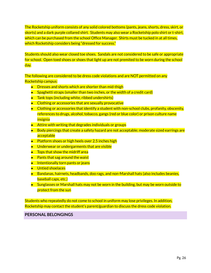The Rocketship uniform consists of any solid colored bottoms (pants, jeans, shorts, dress, skirt, or skorts) and a dark purple collared shirt. Students may also wear a Rocketship polo shirt or t-shirt, which can be purchased from the school Office Manager. Shirts must be tucked in at all times, which Rocketship considers being "dressed for success."

Students should also wear closed toe shoes. Sandals are not considered to be safe or appropriate for school. Open toed shoes or shoes that light up are not premited to be worn during the school day.

The following are considered to be dress code violations and are NOT permitted on any Rocketship campus:

- Dresses and shorts which are shorter than mid-thigh
- Spaghetti straps (smaller than two inches, or the width of a credit card)
- Tank tops (including white, ribbed undershirts)
- Clothing or accessories that are sexually provocative
- Clothing or accessories that identify a student with non-school clubs, profanity, obscenity, references to drugs, alcohol, tobacco, gangs (red or blue color) or prison culture name **insignia**
- Attire with writing that degrades individuals or groups
- Body piercings that create a safety hazard are not acceptable; moderate sized earrings are acceptable
- Platform shoes or high heels over 2.5 inches high
- Underwear or undergarments that are visible
- Tops that show the midriff area
- $\bullet$  Pants that sag around the waist
- Intentionally torn pants or jeans
- Untied shoelaces
- Bandanas, hairnets, headbands, doo rags, and non-Marshall hats (also includes beanies, baseball caps, etc.)
- Sunglasses or Marshall hats may not be worn in the building, but may be worn outside to protect from the sun

Students who repeatedly do not come to school in uniform may lose privileges. In addition, Rocketship may contact the student's parent/guardian to discuss the dress code violation.

**PERSONAL BELONGINGS**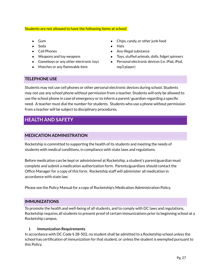#### Students are not allowed to have the following items at school:

- Gum
- Soda
- Cell Phones
- Weapons and toy weapons
- Gameboys or any other electronic toys
- Matches or any flammable item
- Chips, candy, or other junk food
- Hats
- Any illegal substance
- Toys, stuffed animals, dolls, fidget spinners
- Personal electronic devices (i.e. iPad, iPod, mp3 player)

## **TELEPHONE USE**

Students may not use cell phones or other personal electronic devices during school. Students may not use any school phone without permission from a teacher. Students will only be allowed to use the school phone in case of emergency or to inform a parent/ guardian regarding a specific need. A teacher must dial the number for students. Students who use a phone without permission from a teacher will be subject to disciplinary procedures.

# **HEALTH AND SAFETY**

## **MEDICATION ADMINISTRATION**

Rocketship is committed to supporting the health of its students and meeting the needs of students with medical conditions, in compliance with state laws and regulations.

Before medication can be kept or administered at Rocketship, a student's parent/guardian must complete and submit a medication authorization form. Parents/guardians should contact the Office Manager for a copy of this form. Rocketship staff will administer all medication in accordance with state law.

Please see the Policy Manual for a copy of Rocketship's Medication Administration Policy.

#### **IMMUNIZATIONS**

To promote the health and well-being of all students, and to comply with DC laws and regulations, Rocketship requires all students to present proof of certain immunizations prior to beginning school at a Rocketship campus.

#### **I. Immunization Requirements**

In accordance with DC Code § 38-502, no student shall be admitted to a Rocketship school unless the school has certification of immunization for that student, or unless the student is exempted pursuant to this Policy.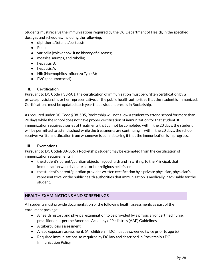Students must receive the immunizations required by the DC Department of Health, in the specified dosages and schedules, including the following:

- diphtheria/tetanus/pertussis;
- Polio;
- varicella (chickenpox, if no history of disease);
- measles, mumps, and rubella;
- $\bullet$  hepatitis B;
- $\bullet$  hepatitis A;
- Hib (Haemophilus Influenza Type B);
- PVC (pneumococcal)

#### **II. Certification**

Pursuant to DC Code § 38-501, the certification of immunization must be written certification by a private physician, his or her representative, or the public health authorities that the student is immunized. Certifications must be updated each year that a student enrolls in Rocketship.

As required under DC Code § 38-505, Rocketship will not allow a student to attend school for more than 20 days while the school does not have proper certification of immunization for that student. If immunization requires a series of treatments that cannot be completed within the 20 days, the student will be permitted to attend school while the treatments are continuing if, within the 20 days, the school receives written notification from whomever is administering it that the immunization is in progress.

#### **III. Exemptions**

Pursuant to DC Code§ 38-506, a Rocketship student may be exempted from the certification of immunization requirements if:

- $\bullet$  the student's parent/guardian objects in good faith and in writing, to the Principal, that immunization would violate his or her religious beliefs; or
- the student's parent/guardian provides written certification by a private physician, physician's representative, or the public health authorities that immunization is medically inadvisable for the student.

## **HEALTH EXAMINATIONS AND SCREENINGS**

All students must provide documentation of the following health assessments as part of the enrollment package:

- A health history and physical examination to be provided by a physician or certified nurse. practitioner as per the American Academy of Pediatrics (AAP) Guidelines.
- A tuberculosis assessment
- A lead exposure assessment. (All children in DC must be screened twice prior to age 6.)
- Required immunizations, as required by DC law and described in Rocketship's DC Immunization Policy.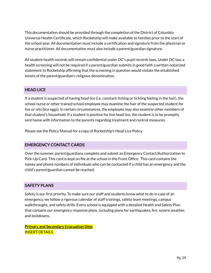This documentation should be provided through the completion of the District of Columbia Universal Health Certificate, which Rocketship will make available to families prior to the start of the school year. All documentation must include a certification and signature from the physician or nurse practitioner. All documentation must also include a parent/guardian signature.

All student health records will remain confidential under DC's pupil records laws. Under DC law, a health screening will not be required if a parent/guardian submits in good faith a written notarized statement to Rocketship affirming that the screening in question would violate the established tenets of the parent/guardian's religious denomination.

## **HEAD LICE**

If a student is suspected of having head lice (i.e. constant itching or tickling feeling in the hair), the school nurse or other trained school employee may examine the hair of the suspected student for lice or nits (lice eggs). In certain circumstances, the employee may also examine other members of that student's household. If a student is positive for live head lice, the student is to be promptly sent home with information to the parents regarding treatment and control measures.

Please see the Policy Manual for a copy of Rocketship's Head Lice Policy*.*

#### **EMERGENCY CONTACT CARDS**

Over the summer, parent/guardians complete and submit an Emergency Contact/Authorization to Pick-Up Card. This card is kept on file at the school in the Front Office. This card contains the names and phone numbers of individuals who can be contacted if a child has an emergency and the child's parent/guardian cannot be reached.

#### **SAFETY PLANS**

Safety is our first priority. To make sure our staff and students know what to do in case of an emergency, we follow a rigorous calendar of staff trainings, safety team meetings, campus walkthroughs, and safety drills. Every school is equipped with a detailed Health and Safety Plan that contains our emergency response plans, including plans for earthquakes, fire, severe weather, and lockdowns.

**Primary and Secondary Evacuation Sites** INSERT DETAILS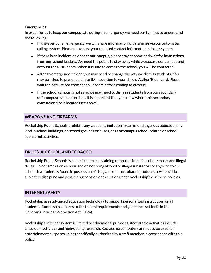#### **Emergencies**

In order for us to keep our campus safe during an emergency, we need our families to understand the following:

- In the event of an emergency, we will share information with families via our automated calling system. Please make sure your updated contact information is in our system.
- If there is an incident on or near our campus, please stay at home and wait for instructions from our school leaders. We need the public to stay away while we secure our campus and account for all students. When it is safe to come to the school, you will be contacted.
- $\bullet$  After an emergency incident, we may need to change the way we dismiss students. You may be asked to present a photo ID in addition to your child's Walker/Rider card. Please wait for instructions from school leaders before coming to campus.
- If the school campus is not safe, we may need to dismiss students from our secondary (off-campus) evacuation sites. It is important that you know where this secondary evacuation site is located (see above).

## **WEAPONS AND FIREARMS**

Rocketship Public Schools prohibits any weapons, imitation firearms or dangerous objects of any kind in school buildings, on school grounds or buses, or at off campus school-related or school sponsored activities.

## **DRUGS, ALCOHOL, AND TOBACCO**

Rocketship Public Schools is committed to maintaining campuses free of alcohol, smoke, and illegal drugs. Do not smoke on campus and do not bring alcohol or illegal substances of any kind to our school. If a student is found in possession of drugs, alcohol, or tobacco products, he/she will be subject to discipline and possible suspension or expulsion under Rocketship's discipline policies.

#### **INTERNET SAFETY**

Rocketship uses advanced education technology to support personalized instruction for all students. Rocketship adheres to the federal requirements and guidelines set forth in the Children's Internet Protection Act (CIPA).

Rocketship's Internet system is limited to educational purposes. Acceptable activities include classroom activities and high-quality research. Rocketship computers are not to be used for entertainment purposes unless specifically authorized by a staff member in accordance with this policy.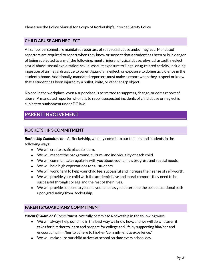Please see the Policy Manual for a copy of Rocketship's Internet Safety Policy.

## **CHILD ABUSE AND NEGLECT**

All school personnel are mandated reporters of suspected abuse and/or neglect. Mandated reporters are required to report when they know or suspect that a student has been or is in danger of being subjected to any of the following: mental injury; physical abuse; physical assault; neglect; sexual abuse; sexual exploitation; sexual assault; exposure to illegal drug-related activity, including ingestion of an illegal drug due to parent/guardian neglect; or exposure to domestic violence in the student's home. Additionally, mandated reporters must make a report when they suspect or know that a student has been injured by a bullet, knife, or other sharp object.

No one in the workplace, even a supervisor, is permitted to suppress, change, or edit a report of abuse. A mandated reporter who fails to report suspected incidents of child abuse or neglect is subject to punishment under DC law.

# **PARENT INVOLVEMENT**

## **ROCKETSHIP'S COMMITMENT**

*Rocketship Commitment –* At Rocketship, we fully commit to our families and students in the following ways:

- We will create a safe place to learn.
- We will respect the background, culture, and individuality of each child.
- We will communicate regularly with you about your child's progress and special needs.
- We will hold high expectations for all students.
- We will work hard to help your child feel successful and increase their sense of self-worth.
- We will provide your child with the academic base and moral compass they need to be successful through college and the rest of their lives.
- We will provide support to you and your child as you determine the best educational path upon graduating from Rocketship.

## **PARENTS'/GUARDIANS' COMMITMENT**

*Parents'/Guardians' Commitment-* We fully commit to Rocketship in the following ways:

- We will always help our child in the best way we know how, and we will do whatever it takes for him/her to learn and prepare for college and life by supporting him/her and encouraging him/her to adhere to his/her "commitment to excellence."
- We will make sure our child arrives at school on time every school day.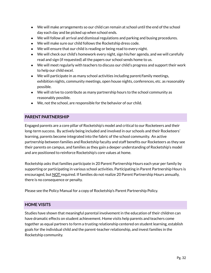- We will make arrangements so our child can remain at school until the end of the school day each day and be picked up when school ends.
- We will follow all arrival and dismissal regulations and parking and busing procedures.
- We will make sure our child follows the Rocketship dress code.
- We will ensure that our child is reading or being read to every night.
- We will check our child's homework every night, sign his/her agenda, and we will carefully read and sign (if requested) all the papers our school sends home to us.
- We will meet regularly with teachers to discuss our child's progress and support their work to help our child excel.
- $\bullet$  We will participate in as many school activities including parent/family meetings, exhibition nights, community meetings, open house nights, conferences, etc. as reasonably possible.
- We will strive to contribute as many partnership hours to the school community as reasonably possible.
- We, not the school, are responsible for the behavior of our child.

## **PARENT PARTNERSHIP**

Engaged parents are a core pillar of Rocketship's model and critical to our Rocketeers and their long-term success. By actively being included and involved in our schools and their Rocketeers' learning, parents become integrated into the fabric of the school community. An active partnership between families and Rocketship faculty and staff benefits our Rocketeers as they see their parents on campus, and families as they gain a deeper understanding of Rocketship's model and are positioned to reinforce Rocketship's core values at home.

Rocketship asks that families participate in 20 Parent Partnership Hours each year per family by supporting or participating in various school activities. Participating in Parent Partnership Hours is encouraged, but NOT required. If families do not realize 20 Parent Partnership Hours annually, there is no consequence or penalty.

Please see the Policy Manual for a copy of Rocketship's Parent Partnership Policy.

#### **HOME VISITS**

Studies have shown that meaningful parental involvement in the education of their children can have dramatic effects on student achievement. Home visits help parents and teachers come together as equal partners to form a trusting relationship centered on student learning, establish goals for the individual child and the parent-teacher relationship, and invest families in the Rocketship community.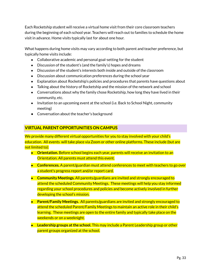Each Rocketship student will receive a virtual home visit from their core classroom teachers during the beginning of each school year. Teachers will reach out to families to schedule the home visit in advance. Home visits typically last for about one hour.

What happens during home visits may vary according to both parent and teacher preference, but typically home visits include:

- Collaborative academic and personal goal-setting for the student
- Discussion of the student's (and the family's) hopes and dreams
- Discussion of the student's interests both inside and outside of the classroom
- Discussion about communication preferences during the school year
- Explanation about Rocketship's policies and procedures that parents have questions about
- Talking about the history of Rocketship and the mission of the network and school
- Conversations about why the family chose Rocketship, how long they have lived in their community, etc.
- Invitation to an upcoming event at the school (i.e. Back to School Night, community meeting)
- Conversation about the teacher's background

## **VIRTUAL PARENT OPPORTUNITIES ON CAMPUS**

We provide many different virtual opportunities for you to stay involved with your child's education. All events will take place via Zoom or other online platforms. These include (but are not limited to):

- **Orientation.** Before school begins each year, parents will receive an invitation to an Orientation. All parents must attend this event.
- Conferences. A parent/guardian must attend conferences to meet with teachers to go over a student's progress report and/or report card.
- **Community Meetings.** All parents/guardians are invited and strongly encouraged to attend the scheduled Community Meetings. These meetings will help you stay informed regarding your school procedures and policies and become actively involved in further developing the school's mission.
- **Parent/Family Meetings.** All parents/guardians are invited and strongly encouraged to attend the scheduled Parent/Family Meetings to maintain an active role in their child's learning. These meetings are open to the entire family and typically take place on the weekends or on a weeknight.
- **Leadership groups at the school.** This may include a Parent Leadership group or other parent groups organized at the school.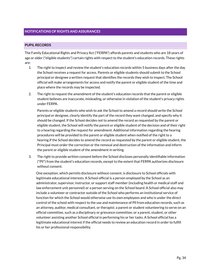#### **PUPIL RECORDS**

The Family Educational Rights and Privacy Act ("FERPA") affords parents and students who are 18 years of age or older ("eligible students") certain rights with respect to the student's education records. These rights are:

- 1. The right to inspect and review the student's education records within 5 business days after the day the School receives a request for access. Parents or eligible students should submit to the School principal or designee a written request that identifies the records they wish to inspect. The School official will make arrangements for access and notify the parent or eligible student of the time and place where the records may be inspected.
- 2. The right to request the amendment of the student's education records that the parent or eligible student believes are inaccurate, misleading, or otherwise in violation of the student's privacy rights under FERPA.

Parents or eligible students who wish to ask the School to amend a record should write the School principal or designee, clearly identify the part of the record they want changed, and specify why it should be changed. If the School decides not to amend the record as requested by the parent or eligible student, the School will notify the parent or eligible student of the decision and of their right to a hearing regarding the request for amendment. Additional information regarding the hearing procedures will be provided to the parent or eligible student when notified of the right to a hearing.If the School decides to amend the record as requested by the parent or eligible student, the Principal must order the correction or the removal and destruction of the information and inform the parent or eligible student of the amendment in writing.

3. The right to provide written consent before the School discloses personally identifiable information ("Pll") from the student's education records, except to the extent that FERPA authorizes disclosure without consent.

One exception, which permits disclosure without consent, is disclosure to School officials with legitimate educational interests. A School official is a person employed by the School as an administrator, supervisor, instructor, or support staff member (including health or medical staff and law enforcement unit personnel) or a person serving on the School board. A School official also may include a volunteer or contractor outside of the School who performs an institutional service of function for which the School would otherwise use its own employees and who is under the direct control of the school with respect to the use and maintenance of Pll from education records, such as an attorney, auditor, medical consultant, or therapist; a parent or student volunteering to serve on an official committee, such as a disciplinary or grievance committee; or a parent, student, or other volunteer assisting another School official in performing his or her tasks. A School official has a legitimate educational interest if the official needs to review an education record in order to fulfill his or her professional responsibility.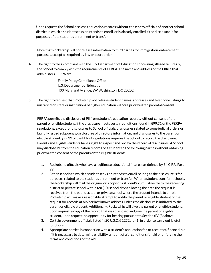Upon request, the School discloses education records without consent to officials of another school district in which a student seeks or intends to enroll, or is already enrolled if the disclosure is for purposes of the student's enrollment or transfer.

Note that Rocketship will not release information to third parties for immigration-enforcement purposes, except as required by law or court order.

4. The right to file a complaint with the U.S. Department of Education concerning alleged failures by the School to comply with the requirements of FERPA. The name and address of the Office that administers FERPA are:

> Family Policy Compliance Office U.S. Department of Education 400 Maryland Avenue, SW Washington, DC 20202

5. The right to request that Rocketship not release student names, addresses and telephone listings to military recruiters or institutions of higher education without prior written parental consent.

FERPA permits the disclosure of Pll from student's education records, without consent of the parent or eligible student, if the disclosure meets certain conditions found in §99.31 of the FERPA regulations. Except for disclosures to School officials, disclosures related to some judicial orders or lawfully issued subpoenas, disclosures of directory information, and disclosures to the parent or eligible student, §99.32 of the FERPA regulations requires the School to record the disclosure. Parents and eligible students have a right to inspect and review the record of disclosures. A School may disclose Pll from the education records of a student to the following parties without obtaining prior written consent of the parents or the eligible student:

- 1. Rocketship officials who have a legitimate educational interest as defined by 34 C.F.R. Part 99;
- 2. Other schools to which a student seeks or intends to enroll so long as the disclosure is for purposes related to the student's enrollment or transfer. When a student transfers schools, the Rocketship will mail the original or a copy of a student's cumulative file to the receiving district or private school within ten (10) school days following the date the request is received from the public school or private school where the student intends to enroll. Rocketship will make a reasonable attempt to notify the parent or eligible student of the request for records at his/her last known address, unless the disclosure is initiated by the parent or eligible student. Additionally, Rocketship will give the parent or eligible student, upon request, a copy of the record that was disclosed and give the parent or eligible student, upon request, an opportunity for hearing pursuant to Section (IV)(3) above;
- 3. Certain government officials listed in 20 U.S.C. § 1232g(b)(1) in order to carry out lawful functions;
- 4. Appropriate parties in connection with a student's application for, or receipt of, financial aid if it is necessary to determine eligibility, amount of aid, conditions for aid or enforcing the terms and conditions of the aid;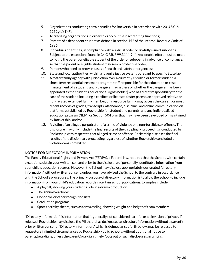- 5. Organizations conducting certain studies for Rocketship in accordance with 20 U.S.C. § 1232g(b)(1)(F);
- 6. Accrediting organizations in order to carry out their accrediting functions;
- 7. Parents of a dependent student as defined in section 152 of the Internal [Revenue](http://www.lexis.com/research/buttonTFLink?_m=6abc13686deebc8da5c10abc89f02b9d&_xfercite=%3ccite%20cc%3d%22USA%22%3e%3c%21%5bCDATA%5b34%20CFR%2099.31%5d%5d%3e%3c%2fcite%3e&_butType=4&_butStat=0&_butNum=3&_butInline=1&_butinfo=26%20USC%20152&_fmtstr=FULL&docnum=1&_startdoc=1&wchp=dGLbVlb-zSkAl&_md5=e6f62af1ce041b02d5bf8cf8786c505b) Code of 1986;
- 8. Individuals or entities, in compliance with a judicial order or lawfully issued subpoena. Subject to the exceptions found in 34 C.F.R. § 99.31(a)(9)(i), reasonable effort must be made to notify the parent or eligible student of the order or subpoena in advance of compliance, so that the parent or eligible student may seek a protective order;
- 9. Persons who need to know in cases of health and safety emergencies;
- 10. State and local authorities, within a juvenile justice system, pursuant to specific State law;
- 11. A foster family agency with jurisdiction over a currently enrolled or former student, a short-term residential treatment program staff responsible for the education or case management of a student, and a caregiver (regardless of whether the caregiver has been appointed as the student's educational rights holder) who has direct responsibility for the care of the student, including a certified or licensed foster parent, an approved relative or non-related extended family member, or a resource family, may access the current or most recent records of grades, transcripts, attendance, discipline, and online communication on platforms established by Rocketship for student and parents, and any individualized education program ("IEP") or Section 504 plan that may have been developed or maintained by Rocketship; and/or
- 12. A victim of an alleged perpetrator of a crime of violence or a non-forcible sex offense. The disclosure may only include the final results of the disciplinary proceedings conducted by Rocketship with respect to that alleged crime or offense. Rocketship discloses the final results of the disciplinary proceeding regardless of whether Rocketship concluded a violation was committed.

#### **NOTICE FOR DIRECTORY INFORMATION**

The Family Educational Rights and Privacy Act (FERPA), a Federal law, requires that the School, with certain exceptions, obtain your written consent prior to the disclosure of personally identifiable information from your child's education records. However, the School may disclose appropriately designated "directory information" without written consent, unless you have advised the School to the contrary in accordance with the School's procedures. The primary purpose of directory information is to allow the School to include information from your child's education records in certain school publications. Examples include:

- A playbill, showing your student's role in a drama production
- The annual yearbook
- Honor roll or other recognition lists
- Graduation programs
- Sports activity sheets, such as for wrestling, showing weight and height of team members.

"Directory Information"is information that is generally not considered harmful or an invasion of privacy if released. Rocketship may disclose the PII that it has designated as directory information without a parent's prior written consent. "Directory information," which is defined as set forth below, may be released to requestors in limited circumstances by Rocketship Public Schools, without additional notice to parents/guardians, unless the parent/guardian timely "opts out of such disclosures, in writing.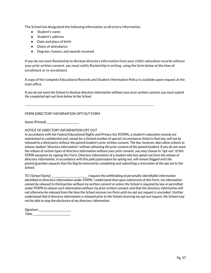The School has designated the following information as directory information:

- Student's name
- Student's address
- Date and place of birth
- Dates of attendance
- Degrees, honors, and awards received

If you do not want Rocketship to disclose directory information from your child's education records without your prior written consent, you must notify Rocketship in writing using the form below at the time of enrollment or re-enrollment.

A copy of the complete Educational Records and Student Information Policy is available upon request at the main office.

If you do not want the School to disclose directory information without your prior written consent, you must submit *the completed opt-out form below to the School.*

*---------------------------------------------------------------------------------------------------------------------*

#### *FERPA DIRECTORY INFORMATION OPT-OUT FORM*

*Name (Printed) \_\_\_\_\_\_\_\_\_\_\_\_\_\_\_\_\_\_\_\_\_\_\_\_\_\_*

*NOTICE OF DIRECTORY INFORMATION OPT OUT*

*In accordance with the Federal Educational Rights and Privacy Act (FERPA), a student's education records are* maintained as confidential and, except for a limited number of special circumstances listed in that law, will not be released to a third party without the parent/student's prior written consent. The law, however, does allow schools to release student "directory information" without obtaining the prior consent of the parent/student. If you do not want the release of certain types of directory information without your prior consent, you may choose to "opt-out" of this FERPA exception by signing this Form. Directory information of a student who has opted-out from the release of *directory information, in accordance with this policy/procedure for opting out, will remain flagged until the* parent/guardian requests that the flag be removed by completing and submitting a revocation of the opt out to the *School.*

*TO: [School Name] \_\_\_\_\_\_\_\_\_\_\_\_\_\_\_\_\_\_\_\_\_\_\_\_\_\_\_\_\_ I request the withholding of personally-identifiable information identified as Directory Information under FERPA. I understand that upon submission of this Form, my information* cannot be released to third parties without my written consent or unless the School is required by law or permitted under FERPA to release such information without my prior written consent; and that the directory information will not otherwise be released from the time the School receives my Form until my opt out request is rescinded. I further understand that if directory information is released prior to the School receiving my opt out request, the School may *not be able to stop the disclosure of my directory information.*

| Signature |  |
|-----------|--|
| Date.     |  |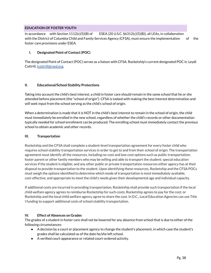#### **EDUCATION OF FOSTER YOUTH**

In accordance with Section 1112(c)(5)(B) of ESEA (20 U.S.C. §6312(c)(5)(B)), all LEAs, in collaboration with the District of Columbia Child and Family Services Agency (CFSA), must ensure the implementation of the foster care provisions under ESEA.

#### **I. Designated Point of Contact(POC)**

The designated Point of Contact (POC) serves as a liaison with CFSA. Rocketship's current designated POC is: Leydi Cottrill, *cottrill@rsed.org.* 

#### **II. Educational/School Stability Protections**

Taking into account the child's best interest, a child in foster care should remain in the same school that he or she attended before placement (the "school of origin"). CFSA is tasked with making the best interest determination and will seek input from the school serving as the child's school of origin.

When a determination is made that it is NOT in the child's best interest to remain in the school of origin, the child must immediately be enrolled in the new school, regardless of whether the child's records or other documentation typically needed for school enrollment can be produced. The enrolling school must immediately contact the previous school to obtain academic and other records.

#### **III. Transportation**

Rocketship and the CFSA shall complete a student-level transportation agreement for every foster child who requires school stability transportation services in order to get to and from their school of origin. The transportation agreement must identify all the resources, including no-cost and low-cost options such as public transportation; foster parent or other family members who may be willing and able to transport the student; special education services if the student is eligible; and any other public or private transportation resources either agency has at their disposal to provide transportation to the student. Upon identifying these resources, Rocketship and the CFSA POCs must weigh the options identified to determine which mode of transportation is most immediately available, cost-effective, and appropriate to meet the child's needs given their developmental age and individual capacity.

If additional costs are incurred in providing transportation, Rocketship shall provide such transportation if the local child welfare agency agrees to reimburse Rocketship for such costs; Rocketship agrees to pay for the cost; or Rocketship and the local child welfare agency agree to share the cost. In D.C., Local Education Agencies can use Title I funding to support additional costs of school stability transportation.

#### **IV. Effect of Absences on Grades**

The grades of a student in foster care shall not be lowered for any absence from school that is due to either of the following circumstances:

- A decision by a court or placement agency to change the student's placement, in which case the student's grades shall be calculated as of the date he/she left school.
- A verified court appearance or related court-ordered activity.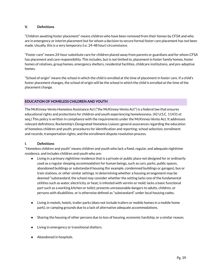#### **V. Definitions**

"Children awaiting foster placement" means children who have been removed from their homes by CFSA and who are in emergency or interim placement but for whom a decision to secure formal foster care placement has not been made. Usually, this is a very temporary (i.e. 24-48 hour) circumstance.

"Foster care" means 24-hour substitute care for children placed away from parents or guardians and for whom CFSA has placement and care responsibility. This includes, but is not limited to, placement in foster family homes, foster homes of relatives, group homes, emergency shelters, residential facilities, childcare institutions, and pre-adoptive homes.

"School of origin" means the school in which the child is enrolled at the time of placement in foster care. If a child's foster placement changes, the school of origin will be the school in which the child is enrolled at the time of the placement change.

#### **EDUCATION OF HOMELESS CHILDREN AND YOUTH**

The McKinney-Vento Homeless Assistance Act ("the McKinney-Vento Act") is a federal law that ensures educational rights and protections for children and youth experiencing homelessness. (42 U.S.C. 11431 et seq.) This policy is written in compliance with the requirements under the McKinney-Vento Act. It addresses relevant definitions; Rocketship's Designated Homeless Liaison; general assurances regarding the education of homeless children and youth; procedures for identification and reporting; school selection; enrollment and records; transportation rights; and the enrollment dispute resolution process.

#### **I. Definitions**

"Homeless children and youth" means children and youth who lack a fixed, regular, and adequate nighttime residence, and includes children and youth who are:

- Living in a primary nighttime residence that is a private or public place not designed for or ordinarily used as a regular sleeping accommodation for human beings, such as cars, parks, public spaces, abandoned buildings or substandard housing (for example, condemned buildings or garages), bus or train stations, or other similar settings. In determining whether a housing arrangement may be deemed "substandard, the school may consider whether the setting lacks one of the fundamental utilities such as water, electricity, or heat; is infested with vermin or mold; lacks a basic functional part such as a working kitchen or toilet; presents unreasonable dangers to adults, children, or persons with disabilities. or is otherwise defined as "substandard" under local housing codes.
- Living in motels, hotels, trailer parks (does not include trailers or mobile homes in a mobile home park), or camping grounds due to a lack of alternative adequate accommodations.
- Sharing the housing of other persons due to loss of housing, economic hardship, or a similar reason.
- Living in emergency or transitional shelters.
- Abandoned in hospitals.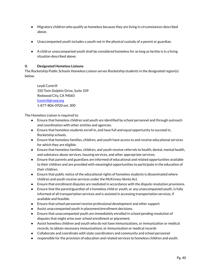- Migratory children who qualify as homeless because they are living in circumstances described above.
- Unaccompanied youth includes a youth not in the physical custody of a parent or guardian.
- A child or unaccompanied youth shall be considered homeless for as long as he/she is in a living situation described above.

#### **II. Designated Homeless Liaisons**

The Rocketship Public Schools Homeless Liaison serves Rocketship students in the designated region(s) below.

Leydi Contrill 350 Twin Dolphin Drive, Suite 109 Redwood City, CA 94065 [lcontrill@rsed.org](mailto:lcontrill@rsed.org) 1-877-806-0920 ext. 300

The Homeless Liaison is required to:

- Ensure that homeless children and youth are identified by school personnel and through outreach and coordination with other entities and agencies.
- Ensure that homeless students enroll in, and have full and equal opportunity to succeed in, Rocketship schools.
- Ensure that homeless families, children, and youth have access to and receive educational services for which they are eligible.
- Ensure that homeless families, children, and youth receive referrals to health, dental, mental health, and substance abuse services, housing services, and other appropriate services.
- Ensure that parents and guardians are informed of educational and related opportunities available to their children and are provided with meaningful opportunities to participate in the education of their children.
- Ensure that public notice of the educational rights of homeless students is disseminated where children and youth receive services under the McKinney-Vento Act.
- Ensure that enrollment disputes are mediated in accordance with the dispute resolution provisions.
- Ensure that the parent/guardian of a homeless child or youth, or any unaccompanied youth, is fully informed of all transportation services and is assisted in accessing transportation services, if available and feasible.
- Ensure that school personnel receive professional development and other support.
- Assist unaccompanied youth in placement/enrollment decisions.
- Ensure that unaccompanied youth are immediately enrolled in school pending resolution of disputes that might arise over school enrollment or placement.
- Assist homeless children and youth who do not have immunizations, or immunization or medical records, to obtain necessary immunizations, or immunization or medical records
- Collaborate and coordinate with state coordinators and community and school personnel
- responsible for the provision of education and related services to homeless children and youth.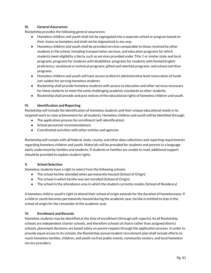#### **III. General Assurances**

Rocketship provides the following general assurances:

- Homeless children and youth shall not be segregated into a separate school or program based on their status as homeless and shall not be stigmatized in any way.
- Homeless children and youth shall be provided services comparable to those received by other students in the school, including transportation services, and education programs for which students meet eligibility criteria, such as services provided under Title 1 or similar state and local programs; programs for students with disabilities; programs for students with limited English proficiency; vocational or technical programs; gifted and talented programs; and school nutrition programs.
- Homeless children and youth will have access to district administrative level reservation of funds (set-asides) for serving homeless students.
- Rocketship shall provide homeless students with access to education and other services necessary for these students to meet the same challenging academic standards as other students.
- Rocketship shall provide and post notices of the educational rights of homeless children and youth.

#### **IV. Identification and Reporting**

Rocketship will include the identification of homeless students and their unique educational needs in its targeted work to raise achievement for all students. Homeless children and youth will be identified through:

- The application process for enrollment (self-identification)
- School personnel recommendations
- Coordinated activities with other entities and agencies

Rocketship will comply with all federal, state, county, and other data collections and reporting requirements regarding homeless children and youth. Materials will be provided for students and parents in a language easily understood by families and students. If students or families are unable to read, additional support should be provided to explain student rights.

#### **V. School Selection**

Homeless students have a right to select from the following schools:

- The school he/she attended when permanently housed (School of Origin)
- The school in which he/she was last enrolled (School of Origin)
- The school in the attendance area in which the student currently resides (School of Residency)

A homeless child or youth's right to attend their school of origin extends for the duration of homelessness. If a child or youth becomes permanently housed during the academic year, he/she is entitled to stay in the school of origin for the remainder of the academic year.

#### **VI. Enrollment and Records**

Homeless students may be identified at the time of enrollment (through self-reports). As all Rocketship schools are independent charter schools, and therefore schools of choice rather than assigned district schools, placement decisions are based solely on parent request through the application process. In order to provide equal access to its schools, the Rocketship annual student recruitment plan shall include efforts to reach homeless families, children, and youth via free public events, community centers, and local homeless service providers.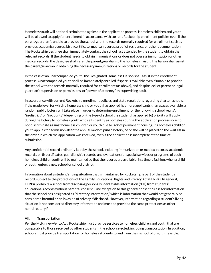Homeless youth will not be discriminated against in the application process. Homeless children and youth will be allowed to apply for enrollment in accordance with current Rocketship enrollment policies even if the parent/guardian is unable to provide the school with the records normally required for enrollment such as previous academic records, birth certificate, medical records, proof of residency, or other documentation. The Rocketship designee shall immediately contact the school last attended by the student to obtain the relevant records. If the student needs to obtain immunizations or does not possess immunization or other medical records, the designee shall refer the parent/guardian to the homeless liaison. The liaison shall assist the parent/guardian in obtaining the necessary immunizations or records for the student.

In the case of an unaccompanied youth, the Designated Homeless Liaison shall assist in the enrollment process. Unaccompanied youth shall be immediately enrolled if space is available even if unable to provide the school with the records normally required for enrollment (as above), and despite lack of parent or legal guardian's supervision or permissions, or "power of attorney" by supervising adult.

In accordance with current Rocketship enrollment policies and state regulations regarding charter schools, if the grade level for which a homeless child or youth has applied has more applicants than spaces available, a random public lottery will take place in order to determine enrollment for the following school year. An "in-district" or "in-county" (depending on the type of school the student has applied to) priority will apply during the lottery to homeless youth who self-identify as homeless during the application process so as to not discriminate against homeless children or youth due to lack of permanent housing. If a homeless child or youth applies for admission after the annual random public lottery, he or she will be placed on the wait list in the order in which the application was received, even if the application is incomplete at the time of submission.

Any confidential record ordinarily kept by the school, including immunization or medical records, academic records, birth certificates, guardianship records, and evaluations for special services or programs, of each homeless child or youth will be maintained so that the records are available, in a timely fashion, when a child or youth enters a new school or school district.

Information about a student's living situation that is maintained by Rocketship is part of the student's record, subject to the protections of the Family Educational Rights and Privacy Act (FERPA). In general, FERPA prohibits a school from disclosing personally identifiable information ("PII) from students' educational records without parental consent. One exception to this general consent rule is for information that the school has designated as "directory information," which is information that would not generally be considered harmful or an invasion of privacy if disclosed. However, information regarding a student's living situation is not considered directory information and must be provided the same protections as other non-directory PII.

#### **VII. Transportation**

Per the McKinney-Vento Act, Rocketship must provide services to homeless children and youth that are comparable to those received by other students in the school selected, including transportation. In addition, schools must provide transportation for homeless students to and from their school of origin, if feasible.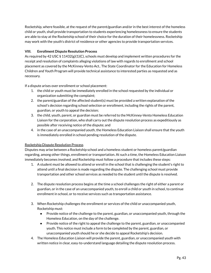Rocketship, where feasible, at the request of the parent/guardian and/or in the best interest of the homeless child or youth, shall provide transportation to students experiencing homelessness to ensure the students are able to stay at the Rocketship school of their choice for the duration of their homelessness. Rocketship may work with the youth's district of residence or other agencies to provide transportation services.

#### **VIII. Enrollment Dispute Resolution Process**

As required by 42 USC § 11432(g)(1)(C), schools must develop and implement written procedures for the receipt and resolution of complaints alleging violations of law with regards to enrollment and school placement as covered by the McKinney-Vento Act.. The State Coordinator for the Education for Homeless Children and Youth Program will provide technical assistance to interested parties as requested and as necessary.

If a dispute arises over enrollment or school placement:

- 1. the child or youth must be immediately enrolled in the school requested by the individual or organization submitting the complaint;
- 2. the parent/guardian of the affected student(s) must be provided a written explanation of the school's decision regarding school selection or enrollment, including the rights of the parent, guardian, or youth to appeal the decision;
- 3. the child, youth, parent, or guardian must be referred to the McKinney-Vento Homeless Education Liaison for the corporation, who shall carry out the dispute resolution process as expeditiously as possible after receiving notice of the dispute; and
- 4. in the case of an unaccompanied youth, the Homeless Education Liaison shall ensure that the youth is immediately enrolled in school pending resolution of the dispute.

#### Rocketship Dispute Resolution Process

Disputes may arise between a Rocketship school and a homeless student or homeless parent/guardian regarding, among other things, enrollment or transportation. At such a time, the Homeless Education Liaison immediately becomes involved, and Rocketship must follow a procedure that includes these steps:

- 1. A student must be allowed to attend or enroll in the school that is challenging the student's right to attend until a final decision is made regarding the dispute. The challenging school must provide transportation and other school services as needed to the student until the dispute is resolved.
- 2. The dispute resolution process begins at the time a school challenges the right of either a parent or guardian, or in the case of an unaccompanied youth, to enroll a child or youth in school, to continue enrollment in school, or to receive services such as transportation assistance.
- 3. When Rocketship challenges the enrollment or services of the child or unaccompanied youth, Rocketship must:
	- Provide notice of the challenge to the parent, guardian, or unaccompanied youth, through the Homeless Education, on the day of the challenge.
	- Provide notice of the right to appeal the challenge to the parent, guardian, or unaccompanied youth. This notice must include a form to be completed by the parent, guardian, or unaccompanied youth should he or she decide to appeal Rocketship's decision.
- 4. The Homeless Education Liaison will provide the parent, guardian, or unaccompanied youth with written notice in clear, easy-to-understand language detailing the dispute resolution process.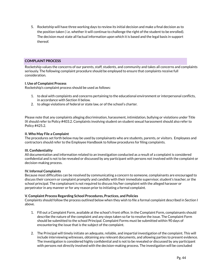5. Rocketship will have three working days to review its initial decision and make a final decision as to the position taken ( i.e. whether it will continue to challenge the right of the student to be enrolled). The decision must state all factual information upon which it is based and the legal basis in support thereof.

#### **COMPLAINT PROCESS**

Rocketship values the concerns of our parents, staff, students, and community and takes all concerns and complaints seriously. The following complaint procedure should be employed to ensure that complaints receive full consideration.

#### **I. Use of Complaint Process**

Rocketship's complaint process should be used as follows:

- 1. to deal with complaints and concerns pertaining to the educational environment or interpersonal conflicts, in accordance with Section II below.
- 2. to allege violations of federal or state law, or of the school's charter.

Please note that any complaints alleging discrimination, harassment, intimidation, bullying or violations under Title IX should refer to Policy #403.2. Complaints involving student on student sexual harassment should also refer to Policy #425.2.

#### **II. Who May File a Complaint**

The procedures set forth below may be used by complainants who are students, parents, or visitors. Employees and contractors should refer to the Employee Handbook to follow procedures for filing complaints.

#### **III. Confidentiality**

All documentation and information related to an investigation conducted as a result of a complaint is considered confidential and is not to be revealed or discussed by any participant with persons not involved with the complaint or decision-making process.

#### **IV. Informal Complaints**

Because most difficulties can be resolved by communicating a concern to someone, complainants are encouraged to discuss their concern or complaint promptly and candidly with their immediate supervisor, student's teacher, or the school principal. The complainant is not required to discuss his/her complaint with the alleged harasser or perpetrator in any manner or for any reason prior to initiating a formal complaint.

#### **V. Complaint Process Regarding School Procedures, Practices, and Policies**

Complaints should follow the process outlined below when they wish to file a formal complaint described in Section I above.

- 1. Fill out a Complaint Form, available at the school's front office. In the Complaint Form, complainants should describe the nature of the complaint and any steps taken so far to resolve the issue. The Complaint Form should be submitted to the school Principal. Complaint Forms must be submitted within 90 days of encountering the issue that is the subject of the complaint.
- 2. The Principal will timely initiate an adequate, reliable, and impartial investigation of the complaint. This will include interviewing witnesses, obtaining any relevant documents, and allowing parties to present evidence. The investigation is considered highly confidential and is not to be revealed or discussed by any participant with persons not directly involved with the decision-making process. The investigation will be concluded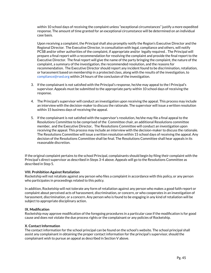within 10 school days of receiving the complaint unless "exceptional circumstances" justify a more expedited response. The amount of time granted for an exceptional circumstance will be determined on an individual case basis.

Upon receiving a complaint, the Principal shall also promptly notify the Region's Executive Director and the Regional Director. The Executive Director, in consultation with legal, compliance and others, will notify PCSB and/or other authorities of the complaint, if appropriate and/or legally required. . The Principal will prepare a final report with a recommendation for resolving the complaint and provide the final report to the Executive Director. The final report will give the name of the party bringing the complaint, the nature of the complaint, a summary of the investigation, the recommended resolution, and the reasons for recommendation. The Executive Director should report any incident found to be discrimination, retaliation, or harassment based on membership in a protected class, along with the results of the investigation, to compliance@rsed.org within 24 hours of the conclusion of the investigation.

- 3. If the complainant is not satisfied with the Principal's response, he/she may appeal to the l Principal's supervisor. Appeals must be submitted to the appropriate party within 10 school days of receiving the response.
- 4. The Principal's supervisor will conduct an investigation upon receiving the appeal. This process may include an interview with the decision-maker to discuss the rationale. The supervisor will issue a written resolution within 15 business days of receiving the appeal.
- 5. If the complainant is not satisfied with the supervisor's resolution, he/she may file a final appeal to the Resolutions Committee to be comprised of the Committee chair, an additional Resolutions committee member, and the Executive Director.. The Resolutions Committee will conduct an investigation upon receiving the appeal. This process may include an interview with the decision-maker to discuss the rationale. The Resolutions Committee will issue a written resolution within 15 school days of receiving the appeal. Any decision of the Resolutions Committee shall be final. The Resolutions Committee shall hear appeals in its reasonable discretion.

If the original complaint pertains to the school Principal, complainants should begin by filing their complaint with the Principal's direct supervisor as described in Steps 3-4 above. Appeals will go to the Resolutions Committee as described in Step 5.

#### **VIII. Prohibition Against Retaliation**

Rocketship will not retaliate against any person who files a complaint in accordance with this policy, or any person who participates in proceedings related to this policy.

In addition, Rocketship will not tolerate any form of retaliation against any person who makes a good faith report or complaint about perceived acts of harassment, discrimination, or concern, or who cooperates in an investigation of harassment, discrimination, or a concern. Any person who is found to be engaging in any kind of retaliation will be subject to appropriate disciplinary action.

#### **IX. Modification**

Rocketship may approve modification of the foregoing procedures in a particular case if the modification is for good cause and does not violate the due process rights or the complainant or any policies of Rocketship.

#### **X.** Contact Information

The contact information for the school principal can be found on the school's website. The school principal shall assist any complainant in obtaining the proper contact information for the principal's supervisor, should the complainant wish to pursue an appeal as described in Section V above.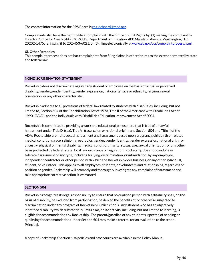The contact information for the RPS Board is [rps\\_dcboard@rsed.org.](mailto:rps_dcboard@rsed.org)

Complainants also have the right to file a complaint with the Office of Civil Rights by: (1) mailing the complaint to Director, Office for Civil Rights (OCR), U.S. Department of Education, 400 Maryland Avenue, Washington, D.C. 20202-1475; (2) faxing it to 202-453-6021; or (3) filing electronically at www.ed.gov/ocr/complaintprocess.html.

#### **XI. Other Remedies**

This complaint process does not bar complainants from filing claims in other forums to the extent permitted by state and federal law.

#### **NONDISCRIMINATION STATEMENT**

Rocketship does not discriminate against any student or employee on the basis of actual or perceived disability, gender, gender identity, gender expression, nationality, race or ethnicity, religion, sexual orientation, or any other characteristic.

Rocketship adheres to all provisions of federal law related to students with disabilities, including, but not limited to, Section 504 of the Rehabilitation Act of 1973, Title II of the Americans with Disabilities Act of 1990 ("ADA"), and the Individuals with Disabilities Education Improvement Act of 2004.

Rocketship is committed to providing a work and educational atmosphere that is free of unlawful harassment under Title IX (sex), Title VI (race, color, or national origin), and Section 504 and Title II of the ADA. Rocketship prohibits sexual harassment and harassment based upon pregnancy, childbirth or related medical conditions, race, religion, creed, color, gender, gender identity, gender expression, national origin or ancestry, physical or mental disability, medical condition, marital status, age, sexual orientation, or any other basis protected by federal, state, local law, ordinance or regulation. Rocketship does not condone or tolerate harassment of any type, including bullying, discrimination, or intimidation, by any employee, independent contractor or other person with which the Rocketship does business, or any other individual, student, or volunteer. This applies to all employees, students, or volunteers and relationships, regardless of position or gender. Rocketship will promptly and thoroughly investigate any complaint of harassment and take appropriate corrective action, if warranted.

#### **SECTION 504**

Rocketship recognizes its legal responsibility to ensure that no qualified person with a disability shall, on the basis of disability, be excluded from participation, be denied the benefits of, or otherwise subjected to discrimination under any program of Rocketship Public Schools. Any student who has an objectively identified disability which substantially limits a major life activity, including, but not limited to learning, is eligible for accommodations by Rocketship. The parent/guardian of any student suspected of needing or qualifying for accommodations under Section 504 may make a referral for an evaluation to the school Principal.

A copy of Rocketship's Section 504 policies and procedures are available in the Policy Manual.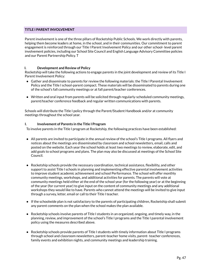#### **TITLE I PARENT INVOLVEMENT**

Parent involvement is one of the three pillars of Rocketship Public Schools. We work directly with parents, helping them become leaders at home, in the school, and in their communities. Our commitment to parent engagement is reinforced through our Title I Parent Involvement Policy and our other school- level parent involvement policies, including our School Site Council and English Language Advisory Committee policies and our Parent Partnership Policy. T

#### **I. Development and Review of Policy**

Rocketship will take the following actions to engage parents in the joint development and review of its Title I Parent Involvement Policy:

- Gather and disseminate to parents for review the following materials: the Title I Parental Involvement Policy and the Title I school-parent compact. These materials will be disseminated to parents during one of the school's fall community meetings or at fall parent/teacher conferences.
- Written and oral input from parents will be solicited through regularly-scheduled community meetings, parent/teacher conference feedback and regular written communications with parents.

Schools will distribute the Title I policy through the Parent/Student Handbook and/or at community meetings throughout the school year.

#### **I. Involvement of Parents in the Title I Program**

To involve parents in the Title I program at Rocketship, the following practices have been established:

- All parents are invited to participate in the annual review of the school's Title I programs. All flyers and notices about the meetings are disseminated by classroom and school newsletters, email, calls and posted on the website. Each year the school holds at least two meetings to review, elaborate, edit, and add goals to school programs and plans. The plan may also be discussed at meetings of the School Site Council.
- Rocketship schools provide the necessary coordination, technical assistance, flexibility, and other support to assist Title I schools in planning and implementing effective parental involvement activities to improve student academic achievement and school Performance. The school will offer monthly community meetings, workshops, and additional activities for parents. The parents will vote at community meetings held either at the end of the school year (for the following year) or at the beginning of the year (for current year) to give input on the content of community meetings and any additional workshops they would like to have. Parents who cannot attend the meetings will be invited to give input through a survey, letter, email or call to their Title I teacher.
- If the schoolwide plan is not satisfactory to the parents of participating children, Rocketship shall submit any parent comments on the plan when the school makes the plan available.
- Rocketship schools involve parents of Title I students in an organized, ongoing, and timely way, in the planning, review, and improvement of the school's Title I programs and the Title I parental involvement policy using the measures described above.
- Rocketship schools provide parents of Title I students with timely information about Title I programs through school and classroom newsletters, parent-teacher home visits, parent- teacher conferences, family events and exhibition nights, and community meetings and leadership training.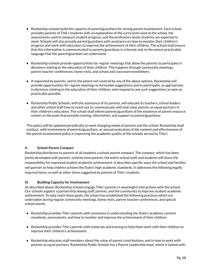- Rocketship schools build the capacity of parent/guardians for strong parent involvement. Each school provides parents of Title I students with an explanation of the curriculum used at the school, the assessments used to measure student progress, and the proficiency levels students are expected to meet. Schools will also provide parent/guardians with assistance on how to monitor their children's progress and work with educators to improve the achievement of their children. The school shall ensure that this information is communicated to parents/guardians in a format and, to the extent practicable, language that the parent/guardian can understand.
- Rocketship schools provide opportunities for regular meetings that allow the parents to participate in decisions relating to the education of their children. This happens through community meetings, parent-teacher conferences, home visits, and school and classroom newsletters.
- If requested by parents, and to the extent not covered by any of the above options, Rocketship will provide opportunities for regular meetings to formulate suggestions and to participate, as appropriate, in decisions relating to the education of their children, and respond to any such suggestions as soon as practicably possible.
- Rocketship Public Schools, with the assistance of its parents, will educate its teachers, school leaders and other school staff how to reach out to, communicate with and value parents as equal partners in their children's education. The school shall inform parents/guardians of the existence of parent resource centers in the state that provide training, information, and support to parent/guardians.

This policy will be updated periodically to meet changing needs of parents and the school. Rocketship shall conduct, with involvement of parents/guardians, an annual evaluation of the content and effectiveness of the parent involvement policy in improving the academic quality of the schools served by Title I.

#### **II. School-Parent Compact**

Rocketship distributes to parents of all students a school-parent compact. The compact, which has been jointly developed with parents, outlines how parents, the entire school staff, and students will share the responsibility for improved student academic achievement. It describes specific ways the school and families will partner to help children achieve the State's high academic standards. It addresses the following legally required items, as well as other items suggested by parents of Title I students.

#### **III. Building Capacity for Involvement**

As described above, Rocketship schools engage Title I parents in meaningful interactions with the school. Our schools support a partnership among staff, parents, and the community to improve student academic achievement. To help reach these goals, the school has established the following practices which are undertaken during regular community meetings, home visits, parent-teacher conferences, and special school events.

- Rocketship provides Title I parents with assistance in understanding the State's academic content standards, assessments, and how to monitor and improve the achievement of their children.
- Rocketship provides Title I parents with materials and training to help them work with their children to improve their children's achievement.
- Rocketship educates staff members about the value of parent contributions, and in how to work with parents as equal partners. Rocketship Public Schools has a Parent Leadership team, which is tasked with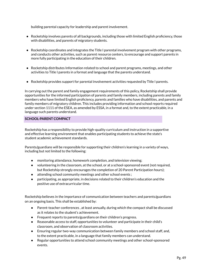building parental capacity for leadership and parent involvement.

- Rocketship involves parents of all backgrounds, including those with limited English proficiency, those with disabilities, and parents of migratory students.
- Rocketship coordinates and integrates the Title I parental involvement program with other programs, and conducts other activities, such as parent resource centers, to encourage and support parents in more fully participating in the education of their children.
- Rocketship distributes Information related to school and parent programs, meetings, and other activities to Title I parents in a format and language that the parents understand.
- Rocketship provides support for parental involvement activities requested by Title I parents.

In carrying out the parent and family engagement requirements of this policy, Rocketship shall provide opportunities for the informed participation of parents and family members, including parents and family members who have limited English proficiency, parents and families who have disabilities, and parents and family members of migratory children. This includes providing information and school reports required under section 1111 of the ESEA, as amended by ESSA, in a format and, to the extent practicable, in a language such parents understand.

#### **SCHOOL-PARENT COMPACT**

Rocketship has a responsibility to provide high-quality curriculum and instruction in a supportive and effective learning environment that enables participating students to achieve the state's student academic achievement standards.

Parents/guardians will be responsible for supporting their children's learning in a variety of ways, including but not limited to the following:

- monitoring attendance, homework completion, and television viewing;
- volunteering in the classroom, at the school, or at a school-sponsored event (not required, but Rocketship strongly encourages the completion of 20 Parent Participation hours);
- attending school community meetings and other school events;
- participating, as appropriate, in decisions related to their children's education and the positive use of extracurricular time.

Rocketship believes in the importance of communication between teachers and parents/guardians on an ongoing basis. This shall be established by:

- Parent-teacher conferences , at least annually, during which the compact shall be discussed as it relates to the student's achievement.
- Frequent reports to parents/guardians on their children's progress.
- Reasonable access to staff, opportunities to volunteer and participate in their child's classroom, and observation of classroom activities.
- Ensuring regular two-way communication between family members and school staff, and, to the extent practicable, in a language that family members can understand.
- Regular opportunities to attend school community meetings and other school-sponsored events.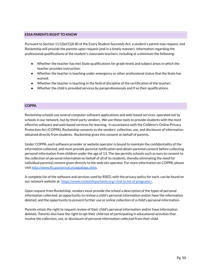#### **ESSA PARENTS RIGHT TO KNOW**

Pursuant to Section 1112(e)(1)(A-B) of the Every Student Succeeds Act, a student's parent may request, and Rocketship will provide the parents upon request (and in a timely manner), information regarding the professional qualifications of the student's classroom teachers, including at a minimum the following:

- Whether the teacher has met State qualifications for grade levels and subject areas in which the teacher provides instruction;
- Whether the teacher is teaching under emergency or other professional status that the State has waived;
- Whether the teacher is teaching in the field of discipline of the certification of the teacher;
- Whether the child is provided services by paraprofessionals and if so their qualifications.

#### **COPPA**

Rocketship schools use several computer software applications and web-based services, operated not by schools in our network, but by third-party vendors. We use these tools to provide students with the most effective software and web-based services for learning. In accordance with the Children's Online Privacy Protection Act (COPPA), Rocketship consents to the vendors' collection, use, and disclosure of information obtained directly from students. Rocketship gives this consent on behalf of parents.

Under COPPA, each software provider or website operator is bound to maintain the confidentiality of the information collected, and must provide parental notification and obtain parental consent before collecting personal information from children under the age of 13. The law permits schools such as ours to consent to the collection of personal information on behalf of all of its students, thereby eliminating the need for individual parental consent given directly to the web site operator. For more information on COPPA, please visit [http://www.ftc.gov/privacy/coppafaqs.shtm.](http://www.ftc.gov/privacy/coppafaqs.shtm)

A complete list of the software and services used by RSED, with the privacy policy for each, can be found on our network website at: [https://www.rocketshipschools.org/<](https://www.rocketshipschools.org/)link to list of programs>.

Upon request from Rocketship, vendors must provide the school a description of the types of personal information collected; an opportunity to review a child's personal information and/or have the information deleted; and the opportunity to prevent further use or online collection of a child's personal information.

Parents retain the right to request review of their child's personal information and/or have information deleted. Parents also have the right to opt their child out of participating in educational activities that involve the collection, use, or disclosure of personal information collected from their child.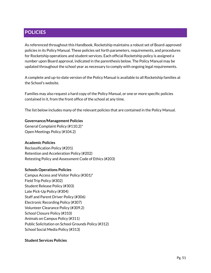# **POLICIES**

As referenced throughout this Handbook, Rocketship maintains a robust set of Board-approved policies in its Policy Manual. These policies set forth parameters, requirements, and procedures for Rocketship operations and student services. Each official Rocketship policy is assigned a number upon Board approval, indicated in the parenthesis below. The Policy Manual may be updated throughout the school year as necessary to comply with ongoing legal requirements.

A complete and up-to-date version of the Policy Manual is available to all Rocketship families at the School's website.

Families may also request a hard copy of the Policy Manual, or one or more specific policies contained in it, from the front office of the school at any time.

The list below includes many of the relevant policies that are contained in the Policy Manual.

#### **Governance/Management Policies**

General Complaint Policy (#110.2)\* Open Meetings Policy (#104.2)

#### **Academic Policies**

Reclassification Policy (#201) Retention and Acceleration Policy (#202) Retesting Policy and Assessment Code of Ethics (#203)

#### **Schools Operations Policies**

Campus Access and Visitor Policy (#301)\* Field Trip Policy (#302) Student Release Policy (#303) Late Pick-Up Policy (#304) Staff and Parent Driver Policy (#306) Electronic Recording Policy (#307) Volunteer Clearance Policy (#309.2) School Closure Policy (#310) Animals on Campus Policy (#311) Public Solicitation on School Grounds Policy (#312) School Social Media Policy (#313)

#### **Student Services Policies**